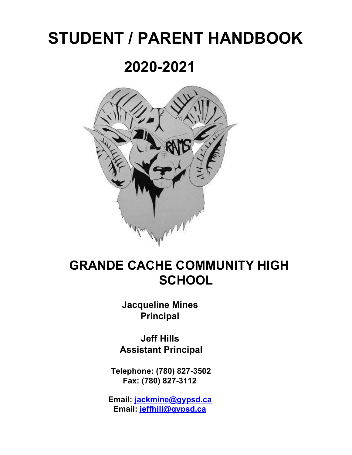# **STUDENT / PARENT HANDBOOK**

# **2020-2021**



## **GRANDE CACHE COMMUNITY HIGH SCHOOL**

**Jacqueline Mines Principal**

**Jeff Hills Assistant Principal**

**Telephone: (780) 827-3502 Fax: (780) 827-3112**

**Email: [jackmine@gypsd.ca](mailto:jackmine@gypsd.ca) Email: jeffhill@gypsd.ca**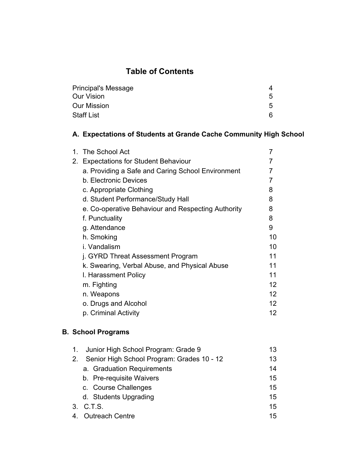#### **Table of Contents**

| <b>Principal's Message</b> |    |
|----------------------------|----|
| <b>Our Vision</b>          | 5. |
| <b>Our Mission</b>         | 5. |
| <b>Staff List</b>          | 6. |

#### **A. Expectations of Students at Grande Cache Community High School**

|    | 1. The School Act                                  |                 |
|----|----------------------------------------------------|-----------------|
| 2. | <b>Expectations for Student Behaviour</b>          |                 |
|    | a. Providing a Safe and Caring School Environment  |                 |
|    | b. Electronic Devices                              |                 |
|    | c. Appropriate Clothing                            | 8               |
|    | d. Student Performance/Study Hall                  | 8               |
|    | e. Co-operative Behaviour and Respecting Authority | 8               |
|    | f. Punctuality                                     | 8               |
|    | g. Attendance                                      | 9               |
|    | h. Smoking                                         | 10              |
|    | i. Vandalism                                       | 10              |
|    | j. GYRD Threat Assessment Program                  | 11              |
|    | k. Swearing, Verbal Abuse, and Physical Abuse      | 11              |
|    | I. Harassment Policy                               | 11              |
|    | m. Fighting                                        | 12 <sup>°</sup> |
|    | n. Weapons                                         | 12 <sup>°</sup> |
|    | o. Drugs and Alcohol                               | 12 <sup>°</sup> |
|    | p. Criminal Activity                               | 12              |
|    |                                                    |                 |

#### **B. School Programs**

| Junior High School Program: Grade 9<br>1.     | 13 |
|-----------------------------------------------|----|
| 2. Senior High School Program: Grades 10 - 12 | 13 |
| a. Graduation Requirements                    | 14 |
| b. Pre-requisite Waivers                      | 15 |
| c. Course Challenges                          | 15 |
| d. Students Upgrading                         | 15 |
| 3. C.T.S.                                     | 15 |
| 4. Outreach Centre                            | 15 |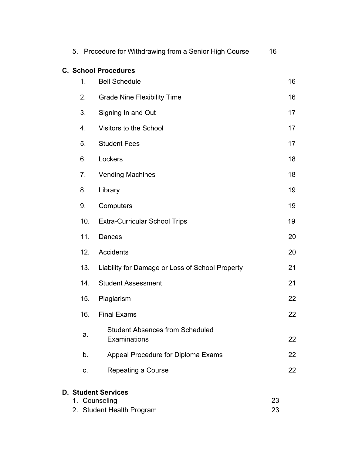|                | 5. Procedure for Withdrawing from a Senior High Course                   | 16       |    |
|----------------|--------------------------------------------------------------------------|----------|----|
|                | <b>C. School Procedures</b>                                              |          |    |
| $\mathbf{1}$ . | <b>Bell Schedule</b>                                                     |          | 16 |
| 2.             | <b>Grade Nine Flexibility Time</b>                                       |          | 16 |
| 3.             | Signing In and Out                                                       |          | 17 |
| 4.             | Visitors to the School                                                   |          | 17 |
| 5.             | <b>Student Fees</b>                                                      |          | 17 |
| 6.             | Lockers                                                                  |          | 18 |
| 7.             | <b>Vending Machines</b>                                                  |          | 18 |
| 8.             | Library                                                                  |          | 19 |
| 9.             | Computers                                                                |          | 19 |
| 10.            | <b>Extra-Curricular School Trips</b>                                     |          | 19 |
| 11.            | Dances                                                                   |          | 20 |
| 12.            | <b>Accidents</b>                                                         |          | 20 |
| 13.            | Liability for Damage or Loss of School Property                          |          | 21 |
| 14.            | <b>Student Assessment</b>                                                |          | 21 |
| 15.            | Plagiarism                                                               |          | 22 |
| 16.            | <b>Final Exams</b>                                                       |          | 22 |
| a.             | <b>Student Absences from Scheduled</b><br>Examinations                   |          | 22 |
| b.             | Appeal Procedure for Diploma Exams                                       |          | 22 |
| C.             | Repeating a Course                                                       |          | 22 |
|                | <b>D. Student Services</b><br>1. Counseling<br>2. Student Health Program | 23<br>23 |    |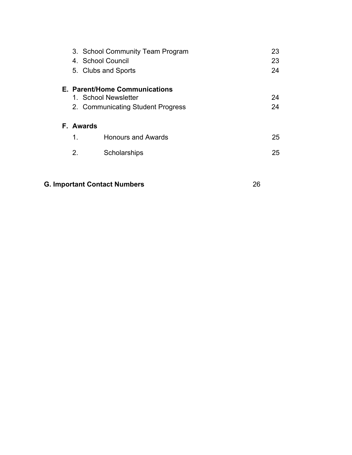|    | 3. School Community Team Program<br>4. School Council<br>5. Clubs and Sports               | 23<br>23<br>24 |
|----|--------------------------------------------------------------------------------------------|----------------|
|    | E. Parent/Home Communications<br>1. School Newsletter<br>2. Communicating Student Progress | 24<br>24       |
|    | F. Awards                                                                                  |                |
| 1. | <b>Honours and Awards</b>                                                                  | 25             |
| 2. | Scholarships                                                                               | 25             |
|    |                                                                                            |                |
|    |                                                                                            |                |

#### **G. Important Contact Numbers** 26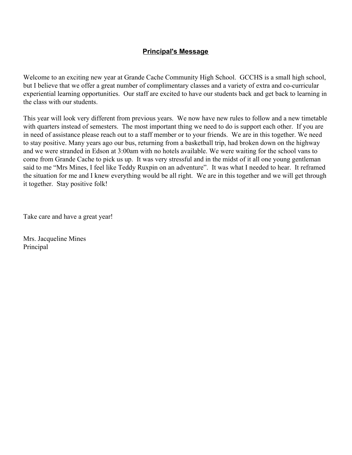#### **Principal's Message**

Welcome to an exciting new year at Grande Cache Community High School. GCCHS is a small high school, but I believe that we offer a great number of complimentary classes and a variety of extra and co-curricular experiential learning opportunities. Our staff are excited to have our students back and get back to learning in the class with our students.

This year will look very different from previous years. We now have new rules to follow and a new timetable with quarters instead of semesters. The most important thing we need to do is support each other. If you are in need of assistance please reach out to a staff member or to your friends. We are in this together. We need to stay positive. Many years ago our bus, returning from a basketball trip, had broken down on the highway and we were stranded in Edson at 3:00am with no hotels available. We were waiting for the school vans to come from Grande Cache to pick us up. It was very stressful and in the midst of it all one young gentleman said to me "Mrs Mines, I feel like Teddy Ruxpin on an adventure". It was what I needed to hear. It reframed the situation for me and I knew everything would be all right. We are in this together and we will get through it together. Stay positive folk!

Take care and have a great year!

Mrs. Jacqueline Mines Principal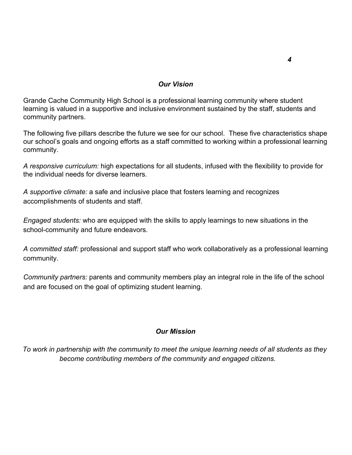#### *Our Vision*

Grande Cache Community High School is a professional learning community where student learning is valued in a supportive and inclusive environment sustained by the staff, students and community partners.

The following five pillars describe the future we see for our school. These five characteristics shape our school's goals and ongoing efforts as a staff committed to working within a professional learning community.

*A responsive curriculum:* high expectations for all students, infused with the flexibility to provide for the individual needs for diverse learners.

*A supportive climate:* a safe and inclusive place that fosters learning and recognizes accomplishments of students and staff.

*Engaged students:* who are equipped with the skills to apply learnings to new situations in the school-community and future endeavors.

*A committed staff:* professional and support staff who work collaboratively as a professional learning community.

*Community partners:* parents and community members play an integral role in the life of the school and are focused on the goal of optimizing student learning.

#### *Our Mission*

 *To work in partnership with the community to meet the unique learning needs of all students as they become contributing members of the community and engaged citizens.*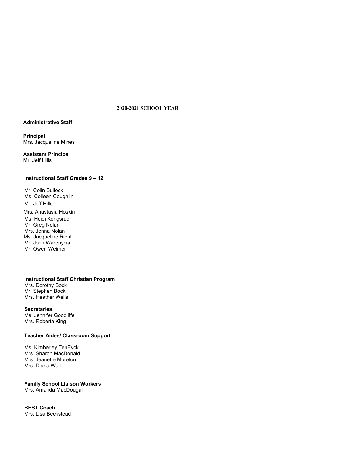#### **2020-2021 SCHOOL YEAR**

#### **Administrative Staff**

**Principal** Mrs. Jacqueline Mines

**Assistant Principal** Mr. Jeff Hills

#### **Instructional Staff Grades 9 – 12**

Mr. Colin Bullock Ms. Colleen Coughlin Mr. Jeff Hills Mrs. Anastasia Hoskin Ms. Heidi Kongsrud Mr. Greg Nolan Mrs. Jenna Nolan Ms. Jacqueline Riehl Mr. John Warenycia Mr. Owen Weimer

**Instructional Staff Christian Program** Mrs. Dorothy Bock Mr. Stephen Bock Mrs. Heather Wells

**Secretaries** Ms. Jennifer Goodliffe Mrs. Roberta King

#### **Teacher Aides/ Classroom Support**

Ms. Kimberley TenEyck Mrs. Sharon MacDonald Mrs. Jeanette Moreton Mrs. Diana Wall

#### **Family School Liaison Workers**

Mrs. Amanda MacDougall

**BEST Coach** Mrs. Lisa Beckstead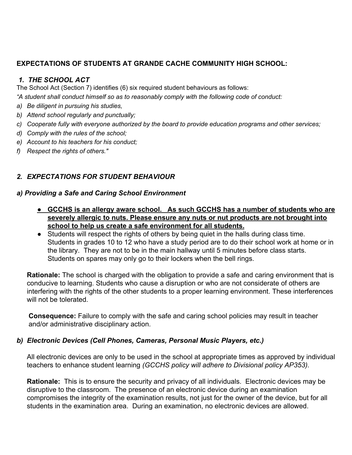#### **EXPECTATIONS OF STUDENTS AT GRANDE CACHE COMMUNITY HIGH SCHOOL:**

#### *1. THE SCHOOL ACT*

The School Act (Section 7) identifies (6) six required student behaviours as follows:

*"A student shall conduct himself so as to reasonably comply with the following code of conduct:*

- *a) Be diligent in pursuing his studies,*
- *b) Attend school regularly and punctually;*
- *c) Cooperate fully with everyone authorized by the board to provide education programs and other services;*
- *d) Comply with the rules of the school;*
- *e) Account to his teachers for his conduct;*
- *f) Respect the rights of others."*

#### *2. EXPECTATIONS FOR STUDENT BEHAVIOUR*

#### *a) Providing a Safe and Caring School Environment*

- **● GCCHS is an allergy aware school. As such GCCHS has a number of students who are severely allergic to nuts. Please ensure any nuts or nut products are not brought into school to help us create a safe environment for all students.**
- Students will respect the rights of others by being quiet in the halls during class time. Students in grades 10 to 12 who have a study period are to do their school work at home or in the library. They are not to be in the main hallway until 5 minutes before class starts. Students on spares may only go to their lockers when the bell rings.

**Rationale:** The school is charged with the obligation to provide a safe and caring environment that is conducive to learning. Students who cause a disruption or who are not considerate of others are interfering with the rights of the other students to a proper learning environment. These interferences will not be tolerated.

**Consequence:** Failure to comply with the safe and caring school policies may result in teacher and/or administrative disciplinary action.

#### *b) Electronic Devices (Cell Phones, Cameras, Personal Music Players, etc.)*

All electronic devices are only to be used in the school at appropriate times as approved by individual teachers to enhance student learning *(GCCHS policy will adhere to Divisional policy AP353).*

**Rationale:** This is to ensure the security and privacy of all individuals. Electronic devices may be disruptive to the classroom. The presence of an electronic device during an examination compromises the integrity of the examination results, not just for the owner of the device, but for all students in the examination area. During an examination, no electronic devices are allowed.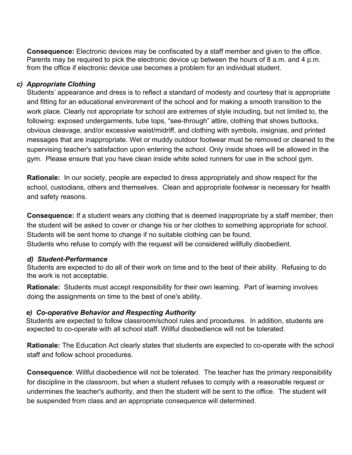**Consequence:** Electronic devices may be confiscated by a staff member and given to the office. Parents may be required to pick the electronic device up between the hours of 8 a.m. and 4 p.m. from the office if electronic device use becomes a problem for an individual student.

#### *c) Appropriate Clothing*

Students' appearance and dress is to reflect a standard of modesty and courtesy that is appropriate and fitting for an educational environment of the school and for making a smooth transition to the work place. Clearly not appropriate for school are extremes of style including, but not limited to, the following: exposed undergarments, tube tops, "see-through" attire, clothing that shows buttocks, obvious cleavage, and/or excessive waist/midriff, and clothing with symbols, insignias, and printed messages that are inappropriate. Wet or muddy outdoor footwear must be removed or cleaned to the supervising teacher's satisfaction upon entering the school. Only inside shoes will be allowed in the gym. Please ensure that you have clean inside white soled runners for use in the school gym.

**Rationale:** In our society, people are expected to dress appropriately and show respect for the school, custodians, others and themselves. Clean and appropriate footwear is necessary for health and safety reasons.

**Consequence:** If a student wears any clothing that is deemed inappropriate by a staff member, then the student will be asked to cover or change his or her clothes to something appropriate for school. Students will be sent home to change if no suitable clothing can be found. Students who refuse to comply with the request will be considered willfully disobedient.

#### *d) Student-Performance*

Students are expected to do all of their work on time and to the best of their ability. Refusing to do the work is not acceptable.

**Rationale:** Students must accept responsibility for their own learning. Part of learning involves doing the assignments on time to the best of one's ability.

#### *e) Co-operative Behavior and Respecting Authority*

Students are expected to follow classroom/school rules and procedures. In addition, students are expected to co-operate with all school staff. Willful disobedience will not be tolerated.

**Rationale:** The Education Act clearly states that students are expected to co-operate with the school staff and follow school procedures.

**Consequence**: Willful disobedience will not be tolerated. The teacher has the primary responsibility for discipline in the classroom, but when a student refuses to comply with a reasonable request or undermines the teacher's authority, and then the student will be sent to the office. The student will be suspended from class and an appropriate consequence will determined.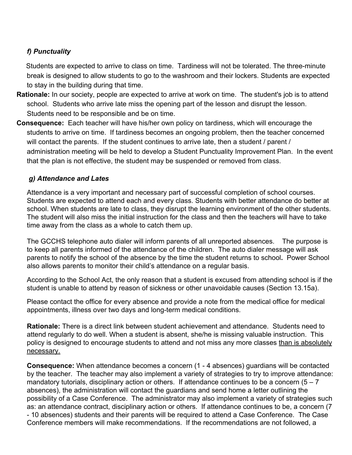#### *f) Punctuality*

 Students are expected to arrive to class on time. Tardiness will not be tolerated. The three-minute break is designed to allow students to go to the washroom and their lockers. Students are expected to stay in the building during that time.

- **Rationale:** In our society, people are expected to arrive at work on time. The student's job is to attend school. Students who arrive late miss the opening part of the lesson and disrupt the lesson. Students need to be responsible and be on time.
- **Consequence:** Each teacher will have his/her own policy on tardiness, which will encourage the students to arrive on time. If tardiness becomes an ongoing problem, then the teacher concerned will contact the parents. If the student continues to arrive late, then a student / parent / administration meeting will be held to develop a Student Punctuality Improvement Plan. In the event that the plan is not effective, the student may be suspended or removed from class.

#### *g) Attendance and Lates*

Attendance is a very important and necessary part of successful completion of school courses. Students are expected to attend each and every class. Students with better attendance do better at school. When students are late to class, they disrupt the learning environment of the other students. The student will also miss the initial instruction for the class and then the teachers will have to take time away from the class as a whole to catch them up.

The GCCHS telephone auto dialer will inform parents of all unreported absences. The purpose is to keep all parents informed of the attendance of the children. The auto dialer message will ask parents to notify the school of the absence by the time the student returns to school**.** Power School also allows parents to monitor their child's attendance on a regular basis.

According to the School Act, the only reason that a student is excused from attending school is if the student is unable to attend by reason of sickness or other unavoidable causes (Section 13.15a).

Please contact the office for every absence and provide a note from the medical office for medical appointments, illness over two days and long-term medical conditions.

**Rationale:** There is a direct link between student achievement and attendance. Students need to attend regularly to do well. When a student is absent, she/he is missing valuable instruction. This policy is designed to encourage students to attend and not miss any more classes than is absolutely necessary.

**Consequence:** When attendance becomes a concern (1 - 4 absences) guardians will be contacted by the teacher. The teacher may also implement a variety of strategies to try to improve attendance: mandatory tutorials, disciplinary action or others. If attendance continues to be a concern  $(5 - 7)$ absences), the administration will contact the guardians and send home a letter outlining the possibility of a Case Conference. The administrator may also implement a variety of strategies such as: an attendance contract, disciplinary action or others. If attendance continues to be, a concern (7 - 10 absences) students and their parents will be required to attend a Case Conference. The Case Conference members will make recommendations. If the recommendations are not followed, a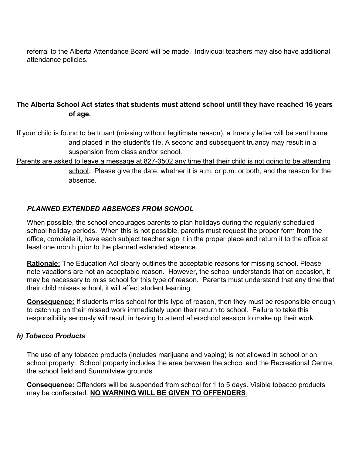referral to the Alberta Attendance Board will be made. Individual teachers may also have additional attendance policies.

#### **The Alberta School Act states that students must attend school until they have reached 16 years of age.**

If your child is found to be truant (missing without legitimate reason), a truancy letter will be sent home and placed in the student's file. A second and subsequent truancy may result in a suspension from class and/or school.

Parents are asked to leave a message at 827-3502 any time that their child is not going to be attending school. Please give the date, whether it is a.m. or p.m. or both, and the reason for the absence.

#### *PLANNED EXTENDED ABSENCES FROM SCHOOL*

When possible, the school encourages parents to plan holidays during the regularly scheduled school holiday periods. When this is not possible, parents must request the proper form from the office, complete it, have each subject teacher sign it in the proper place and return it to the office at least one month prior to the planned extended absence.

**Rationale:** The Education Act clearly outlines the acceptable reasons for missing school. Please note vacations are not an acceptable reason. However, the school understands that on occasion, it may be necessary to miss school for this type of reason. Parents must understand that any time that their child misses school, it will affect student learning.

**Consequence:** If students miss school for this type of reason, then they must be responsible enough to catch up on their missed work immediately upon their return to school. Failure to take this responsibility seriously will result in having to attend afterschool session to make up their work.

#### *h) Tobacco Products*

The use of any tobacco products (includes marijuana and vaping) is not allowed in school or on school property. School property includes the area between the school and the Recreational Centre, the school field and Summitview grounds.

**Consequence:** Offenders will be suspended from school for 1 to 5 days. Visible tobacco products may be confiscated. **NO WARNING WILL BE GIVEN TO OFFENDERS**.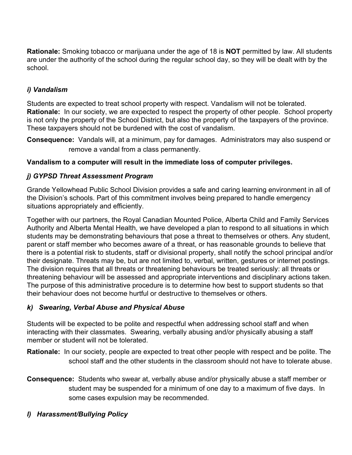**Rationale:** Smoking tobacco or marijuana under the age of 18 is **NOT** permitted by law. All students are under the authority of the school during the regular school day, so they will be dealt with by the school.

#### *i) Vandalism*

Students are expected to treat school property with respect. Vandalism will not be tolerated. **Rationale:** In our society, we are expected to respect the property of other people. School property is not only the property of the School District, but also the property of the taxpayers of the province. These taxpayers should not be burdened with the cost of vandalism.

**Consequence:** Vandals will, at a minimum, pay for damages. Administrators may also suspend or remove a vandal from a class permanently.

#### **Vandalism to a computer will result in the immediate loss of computer privileges.**

#### *j) GYPSD Threat Assessment Program*

Grande Yellowhead Public School Division provides a safe and caring learning environment in all of the Division's schools. Part of this commitment involves being prepared to handle emergency situations appropriately and efficiently.

Together with our partners, the Royal Canadian Mounted Police, Alberta Child and Family Services Authority and Alberta Mental Health, we have developed a plan to respond to all situations in which students may be demonstrating behaviours that pose a threat to themselves or others. Any student, parent or staff member who becomes aware of a threat, or has reasonable grounds to believe that there is a potential risk to students, staff or divisional property, shall notify the school principal and/or their designate. Threats may be, but are not limited to, verbal, written, gestures or internet postings. The division requires that all threats or threatening behaviours be treated seriously: all threats or threatening behaviour will be assessed and appropriate interventions and disciplinary actions taken. The purpose of this administrative procedure is to determine how best to support students so that their behaviour does not become hurtful or destructive to themselves or others.

#### *k) Swearing, Verbal Abuse and Physical Abuse*

Students will be expected to be polite and respectful when addressing school staff and when interacting with their classmates. Swearing, verbally abusing and/or physically abusing a staff member or student will not be tolerated.

**Rationale:** In our society, people are expected to treat other people with respect and be polite. The school staff and the other students in the classroom should not have to tolerate abuse.

- **Consequence:** Students who swear at, verbally abuse and/or physically abuse a staff member or student may be suspended for a minimum of one day to a maximum of five days. In some cases expulsion may be recommended.
- *l) Harassment/Bullying Policy*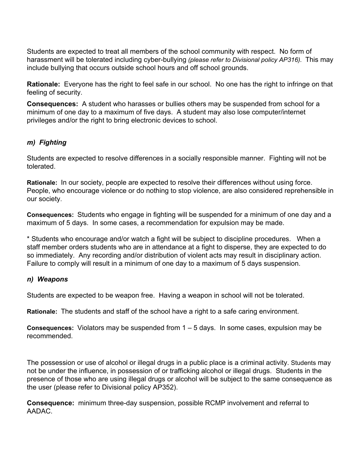Students are expected to treat all members of the school community with respect. No form of harassment will be tolerated including cyber-bullying *(please refer to Divisional policy AP316).* This may include bullying that occurs outside school hours and off school grounds.

**Rationale:** Everyone has the right to feel safe in our school. No one has the right to infringe on that feeling of security.

**Consequences:** A student who harasses or bullies others may be suspended from school for a minimum of one day to a maximum of five days. A student may also lose computer/internet privileges and/or the right to bring electronic devices to school.

#### *m) Fighting*

Students are expected to resolve differences in a socially responsible manner. Fighting will not be tolerated.

**Rationale:** In our society, people are expected to resolve their differences without using force. People, who encourage violence or do nothing to stop violence, are also considered reprehensible in our society.

**Consequences:** Students who engage in fighting will be suspended for a minimum of one day and a maximum of 5 days. In some cases, a recommendation for expulsion may be made.

\* Students who encourage and/or watch a fight will be subject to discipline procedures. When a staff member orders students who are in attendance at a fight to disperse, they are expected to do so immediately. Any recording and/or distribution of violent acts may result in disciplinary action. Failure to comply will result in a minimum of one day to a maximum of 5 days suspension.

#### *n) Weapons*

Students are expected to be weapon free. Having a weapon in school will not be tolerated.

**Rationale:** The students and staff of the school have a right to a safe caring environment.

**Consequences:** Violators may be suspended from 1 – 5 days. In some cases, expulsion may be recommended.

The possession or use of alcohol or illegal drugs in a public place is a criminal activity. Students may not be under the influence, in possession of or trafficking alcohol or illegal drugs. Students in the presence of those who are using illegal drugs or alcohol will be subject to the same consequence as the user (please refer to Divisional policy AP352).

**Consequence:** minimum three-day suspension, possible RCMP involvement and referral to AADAC.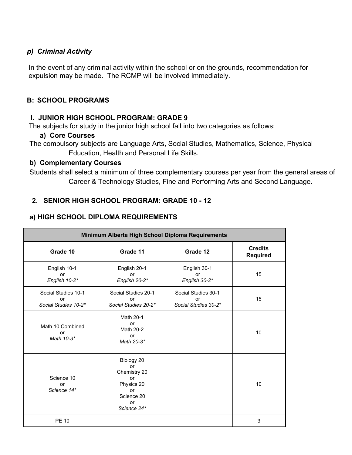#### *p) Criminal Activity*

In the event of any criminal activity within the school or on the grounds, recommendation for expulsion may be made. The RCMP will be involved immediately.

#### **B: SCHOOL PROGRAMS**

#### **I. JUNIOR HIGH SCHOOL PROGRAM: GRADE 9**

The subjects for study in the junior high school fall into two categories as follows:

#### **a) Core Courses**

The compulsory subjects are Language Arts, Social Studies, Mathematics, Science, Physical Education, Health and Personal Life Skills.

#### **b) Complementary Courses**

Students shall select a minimum of three complementary courses per year from the general areas of Career & Technology Studies, Fine and Performing Arts and Second Language.

#### **2. SENIOR HIGH SCHOOL PROGRAM: GRADE 10 - 12**

#### **a) HIGH SCHOOL DIPLOMA REQUIREMENTS**

| Minimum Alberta High School Diploma Requirements  |                                                                                                      |                                                   |                                   |
|---------------------------------------------------|------------------------------------------------------------------------------------------------------|---------------------------------------------------|-----------------------------------|
| Grade 10                                          | Grade 11                                                                                             | Grade 12                                          | <b>Credits</b><br><b>Required</b> |
| English 10-1<br>or<br>English 10-2*               | English 20-1<br>or<br>English 20-2*                                                                  | English 30-1<br>or<br>English 30-2*               | 15                                |
| Social Studies 10-1<br>or<br>Social Studies 10-2* | Social Studies 20-1<br>or<br>Social Studies 20-2*                                                    | Social Studies 30-1<br>or<br>Social Studies 30-2* | 15                                |
| Math 10 Combined<br>or<br>Math 10-3*              | Math 20-1<br><b>or</b><br>Math 20-2<br><b>or</b><br>Math 20-3*                                       |                                                   | 10                                |
| Science 10<br>or<br>Science 14*                   | Biology 20<br><b>or</b><br>Chemistry 20<br>or<br>Physics 20<br>or<br>Science 20<br>or<br>Science 24* |                                                   | 10                                |
| <b>PE 10</b>                                      |                                                                                                      |                                                   | 3                                 |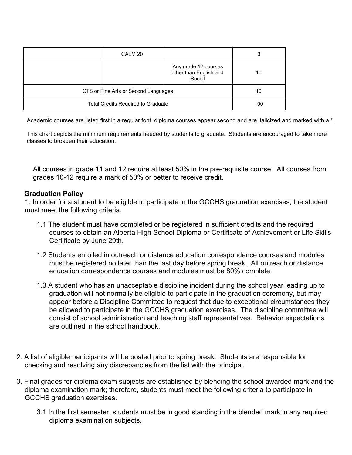| CALM 20                                   |                                                          | 3   |
|-------------------------------------------|----------------------------------------------------------|-----|
|                                           | Any grade 12 courses<br>other than English and<br>Social | 10  |
| CTS or Fine Arts or Second Languages      |                                                          | 10  |
| <b>Total Credits Required to Graduate</b> |                                                          | 100 |

Academic courses are listed first in a regular font, diploma courses appear second and are italicized and marked with a \*.

This chart depicts the minimum requirements needed by students to graduate. Students are encouraged to take more classes to broaden their education.

All courses in grade 11 and 12 require at least 50% in the pre-requisite course. All courses from grades 10-12 require a mark of 50% or better to receive credit.

#### **Graduation Policy**

1. In order for a student to be eligible to participate in the GCCHS graduation exercises, the student must meet the following criteria.

- 1.1 The student must have completed or be registered in sufficient credits and the required courses to obtain an Alberta High School Diploma or Certificate of Achievement or Life Skills Certificate by June 29th.
- 1.2 Students enrolled in outreach or distance education correspondence courses and modules must be registered no later than the last day before spring break. All outreach or distance education correspondence courses and modules must be 80% complete.
- 1.3 A student who has an unacceptable discipline incident during the school year leading up to graduation will not normally be eligible to participate in the graduation ceremony, but may appear before a Discipline Committee to request that due to exceptional circumstances they be allowed to participate in the GCCHS graduation exercises. The discipline committee will consist of school administration and teaching staff representatives. Behavior expectations are outlined in the school handbook.
- 2. A list of eligible participants will be posted prior to spring break. Students are responsible for checking and resolving any discrepancies from the list with the principal.
- 3. Final grades for diploma exam subjects are established by blending the school awarded mark and the diploma examination mark; therefore, students must meet the following criteria to participate in GCCHS graduation exercises.
	- 3.1 In the first semester, students must be in good standing in the blended mark in any required diploma examination subjects.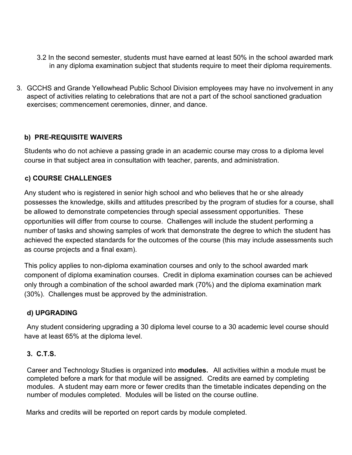- 3.2 In the second semester, students must have earned at least 50% in the school awarded mark in any diploma examination subject that students require to meet their diploma requirements.
- 3. GCCHS and Grande Yellowhead Public School Division employees may have no involvement in any aspect of activities relating to celebrations that are not a part of the school sanctioned graduation exercises; commencement ceremonies, dinner, and dance.

#### **b) PRE-REQUISITE WAIVERS**

Students who do not achieve a passing grade in an academic course may cross to a diploma level course in that subject area in consultation with teacher, parents, and administration.

#### **c) COURSE CHALLENGES**

Any student who is registered in senior high school and who believes that he or she already possesses the knowledge, skills and attitudes prescribed by the program of studies for a course, shall be allowed to demonstrate competencies through special assessment opportunities. These opportunities will differ from course to course. Challenges will include the student performing a number of tasks and showing samples of work that demonstrate the degree to which the student has achieved the expected standards for the outcomes of the course (this may include assessments such as course projects and a final exam).

This policy applies to non-diploma examination courses and only to the school awarded mark component of diploma examination courses. Credit in diploma examination courses can be achieved only through a combination of the school awarded mark (70%) and the diploma examination mark (30%). Challenges must be approved by the administration.

#### **d) UPGRADING**

Any student considering upgrading a 30 diploma level course to a 30 academic level course should have at least 65% at the diploma level.

#### **3. C.T.S.**

Career and Technology Studies is organized into **modules.** All activities within a module must be completed before a mark for that module will be assigned. Credits are earned by completing modules. A student may earn more or fewer credits than the timetable indicates depending on the number of modules completed. Modules will be listed on the course outline.

Marks and credits will be reported on report cards by module completed.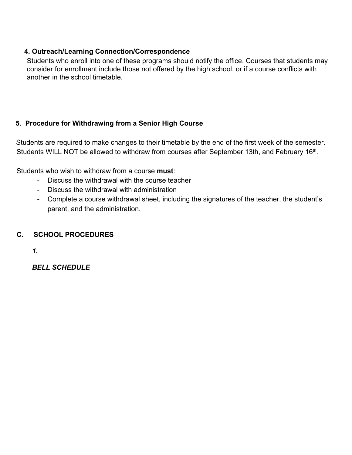#### **4. Outreach/Learning Connection/Correspondence**

Students who enroll into one of these programs should notify the office. Courses that students may consider for enrollment include those not offered by the high school, or if a course conflicts with another in the school timetable.

#### **5. Procedure for Withdrawing from a Senior High Course**

Students are required to make changes to their timetable by the end of the first week of the semester. Students WILL NOT be allowed to withdraw from courses after September 13th, and February 16<sup>th</sup>.

Students who wish to withdraw from a course **must**:

- Discuss the withdrawal with the course teacher
- Discuss the withdrawal with administration
- Complete a course withdrawal sheet, including the signatures of the teacher, the student's parent, and the administration.

#### **C. SCHOOL PROCEDURES**

*1.*

*BELL SCHEDULE*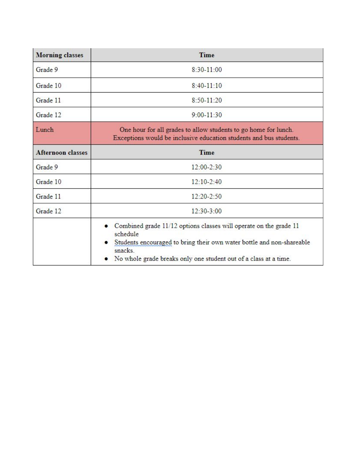| <b>Morning classes</b> | Time                                                                                                                                                                                                                                    |
|------------------------|-----------------------------------------------------------------------------------------------------------------------------------------------------------------------------------------------------------------------------------------|
| Grade 9                | $8:30-11:00$                                                                                                                                                                                                                            |
| Grade 10               | $8:40-11:10$                                                                                                                                                                                                                            |
| Grade 11               | $8:50 - 11:20$                                                                                                                                                                                                                          |
| Grade 12               | $9:00 - 11:30$                                                                                                                                                                                                                          |
| Lunch                  | One hour for all grades to allow students to go home for lunch.<br>Exceptions would be inclusive education students and bus students.                                                                                                   |
| Afternoon classes      | Time                                                                                                                                                                                                                                    |
| Grade 9                | $12:00 - 2:30$                                                                                                                                                                                                                          |
| Grade 10               | $12:10-2:40$                                                                                                                                                                                                                            |
| Grade 11               | $12:20 - 2:50$                                                                                                                                                                                                                          |
| Grade 12               | $12:30-3:00$                                                                                                                                                                                                                            |
|                        | • Combined grade 11/12 options classes will operate on the grade 11<br>schedule<br>Students encouraged to bring their own water bottle and non-shareable<br>snacks.<br>No whole grade breaks only one student out of a class at a time. |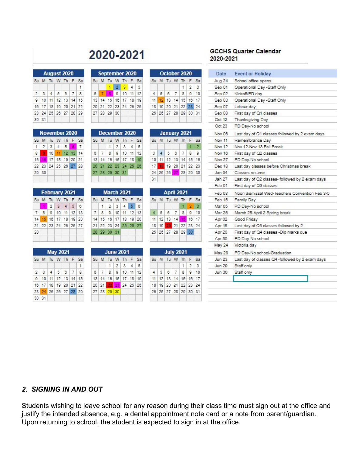## 2020-2021

|              | Su M Tu W Th F Sa    |  |  |
|--------------|----------------------|--|--|
|              |                      |  |  |
|              | 2345678              |  |  |
|              | 9 10 11 12 13 14 15  |  |  |
|              | 16 17 18 19 20 21 22 |  |  |
|              | 23 24 25 26 27 28 29 |  |  |
| $30 \mid 31$ |                      |  |  |

|                |       | Su M Tu W Th F       |  |    | S. |
|----------------|-------|----------------------|--|----|----|
|                |       | $1 \t2 \t3 \t4 \t5$  |  | à, |    |
| 8 <sub>1</sub> |       | 10 11 12 13 14       |  |    |    |
|                |       | 15 16 17 18 19 20 21 |  |    |    |
|                |       | 22 23 24 25 26 27 28 |  |    |    |
|                | 29 30 |                      |  |    |    |

|    |            | <b>February 2021</b> |                          |             |    |               |
|----|------------|----------------------|--------------------------|-------------|----|---------------|
|    |            | Su M Tu W Th F Sa    |                          |             |    |               |
|    |            |                      | $2 \mid 3 \mid 4 \mid 5$ |             |    | 6             |
|    |            | 7 8 9 10 11 12 13    |                          |             |    |               |
|    |            | 14 15 16 17 18 19 20 |                          |             |    |               |
|    |            | 21 22 23 24 25 26 27 |                          |             |    |               |
| 28 |            |                      |                          |             |    |               |
|    |            | <b>May 2021</b>      |                          |             |    |               |
|    |            | Su M Tu W Th F       |                          |             |    | Sa            |
|    |            |                      |                          |             |    | $\mathbf{1}$  |
|    | $2 \mid 3$ |                      | 4 5 8                    |             | -7 | $\frac{1}{3}$ |
| 9  |            | $10$ 11              |                          | 12 13 14 15 |    |               |
|    |            |                      |                          |             |    |               |
|    |            | 16 17 18 19 20 21 22 |                          |             |    |               |
|    |            | 23 24 25 26 27 28 29 |                          |             |    |               |

|   | Su M Tu |                      |                | W Th F Sa |                 |    |
|---|---------|----------------------|----------------|-----------|-----------------|----|
|   |         |                      | 2 <sup>1</sup> | a.        |                 |    |
| ß |         |                      |                | 9 10      | 11 <sup>1</sup> | 12 |
|   |         | 13 14 15 16 17 18 19 |                |           |                 |    |
|   |         | 20 21 22 23 24 25 26 |                |           |                 |    |
|   |         | 27 28 29 30          |                |           |                 |    |

|  | Su M Tu W Th F Sa    |                     |  |  |
|--|----------------------|---------------------|--|--|
|  |                      | $1 \t2 \t3 \t4 \t5$ |  |  |
|  | $8$ 7 8 9 10 11 12   |                     |  |  |
|  | 13 14 15 16 17 18 19 |                     |  |  |
|  | 20 21 22 23 24 25 26 |                     |  |  |
|  | 27 28 29 30 31       |                     |  |  |

| Su M Tu W Th F Sa    |  |  |  |
|----------------------|--|--|--|
| 1 2 3 4 5 6          |  |  |  |
| 7 8 9 10 11 12 13    |  |  |  |
| 14 15 16 17 18 19 20 |  |  |  |
| 21 22 23 24 25 26 27 |  |  |  |
| 28 29 30 31          |  |  |  |

| Su M Tu W Th F Sa    |      |                     |  |
|----------------------|------|---------------------|--|
|                      |      | $1 \t2 \t3 \t4 \t5$ |  |
| $6$ 7 8 9 10 11 12   |      |                     |  |
| 13 14 15 16 17 18 19 |      |                     |  |
| $20 \mid 21$         | - 22 | 24 25 26            |  |
| 27 28 29             | l 30 |                     |  |

|  |  | Su M Tu W Th F Sa    |     |  |
|--|--|----------------------|-----|--|
|  |  |                      | 123 |  |
|  |  | $4$ 5 6 7 8 9 10     |     |  |
|  |  | 11 12 13 14 15 16 17 |     |  |
|  |  | 18 19 20 21 22 23 24 |     |  |
|  |  | 25 26 27 28 29 30 31 |     |  |

|    |  | January 2021         |    |     |
|----|--|----------------------|----|-----|
|    |  | Su M Tu W Th F Sa    |    |     |
|    |  |                      | и. | - 2 |
|    |  | 3 4 5 6 7 8 9        |    |     |
|    |  | 10 11 12 13 14 15 16 |    |     |
|    |  | 17 18 19 20 21 22 23 |    |     |
|    |  | 24 25 26 27 28 29 30 |    |     |
| 31 |  |                      |    |     |

|                      |  | <b>April 2021</b> |             |  |
|----------------------|--|-------------------|-------------|--|
| Su M Tu W Th F Sa    |  |                   |             |  |
|                      |  |                   | $1 \t2 \t3$ |  |
| 4 5 6 7 8 9 10       |  |                   |             |  |
| 11 12 13 14 15 16 17 |  |                   |             |  |
| 18 19 20 21 22 23 24 |  |                   |             |  |
| 25 26 27 28 29 30    |  |                   |             |  |
|                      |  |                   |             |  |

|  |  | Su M Tu W Th F Sa    |  |
|--|--|----------------------|--|
|  |  | 123                  |  |
|  |  | $4$ 5 6 7 8 9 10     |  |
|  |  | 11 12 13 14 15 16 17 |  |
|  |  | 18 19 20 21 22 23 24 |  |
|  |  | 25 26 27 28 29 30 31 |  |

#### **GCCHS Quarter Calendar** 2020-2021

| School office opens<br>Operational Day -Staff Only<br>Kickoff/PD day<br>Operational Day -Staff Only<br>Labour day<br>First day of Q1 classes<br>Thanksgiving Day<br>PD Day-No school<br>Last day of Q1 classes followed by 2 exam days<br>Remembrance Dav<br>Nov 12-Nov 13 Fall Break<br>First day of Q2 classes<br>PD Day-No school<br>Last day classes before Christmas break<br>Classes resume<br>Last day of Q2 classes- followed by 2 exam days<br>First day of Q3 classes<br><b>Family Day</b><br>PD Day-No school<br>March 25-April 2 Spring break<br>Good Friday<br>Last day of Q3 classes followed by 2<br>First day of Q4 classes -Dip marks due<br>PD Day-No school<br>Victoria day<br>PD Day-No school-Graduation<br>Last day of classes Q4 -followed by 2 exam days<br>Staff only<br>Staff only | Date              | <b>Event or Holiday</b>                        |  |  |
|--------------------------------------------------------------------------------------------------------------------------------------------------------------------------------------------------------------------------------------------------------------------------------------------------------------------------------------------------------------------------------------------------------------------------------------------------------------------------------------------------------------------------------------------------------------------------------------------------------------------------------------------------------------------------------------------------------------------------------------------------------------------------------------------------------------|-------------------|------------------------------------------------|--|--|
|                                                                                                                                                                                                                                                                                                                                                                                                                                                                                                                                                                                                                                                                                                                                                                                                              | Aug 24            |                                                |  |  |
|                                                                                                                                                                                                                                                                                                                                                                                                                                                                                                                                                                                                                                                                                                                                                                                                              | Sep 01            |                                                |  |  |
|                                                                                                                                                                                                                                                                                                                                                                                                                                                                                                                                                                                                                                                                                                                                                                                                              | Sep 02            |                                                |  |  |
|                                                                                                                                                                                                                                                                                                                                                                                                                                                                                                                                                                                                                                                                                                                                                                                                              | Sep 03            |                                                |  |  |
|                                                                                                                                                                                                                                                                                                                                                                                                                                                                                                                                                                                                                                                                                                                                                                                                              | Sep 07            |                                                |  |  |
|                                                                                                                                                                                                                                                                                                                                                                                                                                                                                                                                                                                                                                                                                                                                                                                                              | Sep 08            |                                                |  |  |
|                                                                                                                                                                                                                                                                                                                                                                                                                                                                                                                                                                                                                                                                                                                                                                                                              | Oct 12            |                                                |  |  |
|                                                                                                                                                                                                                                                                                                                                                                                                                                                                                                                                                                                                                                                                                                                                                                                                              | Oct 23            |                                                |  |  |
|                                                                                                                                                                                                                                                                                                                                                                                                                                                                                                                                                                                                                                                                                                                                                                                                              | Nov 06            |                                                |  |  |
|                                                                                                                                                                                                                                                                                                                                                                                                                                                                                                                                                                                                                                                                                                                                                                                                              | Nov 11            |                                                |  |  |
|                                                                                                                                                                                                                                                                                                                                                                                                                                                                                                                                                                                                                                                                                                                                                                                                              | Nov 12            |                                                |  |  |
|                                                                                                                                                                                                                                                                                                                                                                                                                                                                                                                                                                                                                                                                                                                                                                                                              | Nov 16            |                                                |  |  |
|                                                                                                                                                                                                                                                                                                                                                                                                                                                                                                                                                                                                                                                                                                                                                                                                              | Nov <sub>27</sub> |                                                |  |  |
|                                                                                                                                                                                                                                                                                                                                                                                                                                                                                                                                                                                                                                                                                                                                                                                                              | Dec 18            |                                                |  |  |
|                                                                                                                                                                                                                                                                                                                                                                                                                                                                                                                                                                                                                                                                                                                                                                                                              | Jan 04            |                                                |  |  |
|                                                                                                                                                                                                                                                                                                                                                                                                                                                                                                                                                                                                                                                                                                                                                                                                              | Jan <sub>27</sub> |                                                |  |  |
|                                                                                                                                                                                                                                                                                                                                                                                                                                                                                                                                                                                                                                                                                                                                                                                                              | Feb 01            |                                                |  |  |
|                                                                                                                                                                                                                                                                                                                                                                                                                                                                                                                                                                                                                                                                                                                                                                                                              | $F$ eb $03$       | Noon dismissal Wed-Teachers Convention Feb 3-5 |  |  |
|                                                                                                                                                                                                                                                                                                                                                                                                                                                                                                                                                                                                                                                                                                                                                                                                              | Feb 15            |                                                |  |  |
|                                                                                                                                                                                                                                                                                                                                                                                                                                                                                                                                                                                                                                                                                                                                                                                                              | Mar 05            |                                                |  |  |
|                                                                                                                                                                                                                                                                                                                                                                                                                                                                                                                                                                                                                                                                                                                                                                                                              | Mar 25            |                                                |  |  |
|                                                                                                                                                                                                                                                                                                                                                                                                                                                                                                                                                                                                                                                                                                                                                                                                              | Apr 02            |                                                |  |  |
|                                                                                                                                                                                                                                                                                                                                                                                                                                                                                                                                                                                                                                                                                                                                                                                                              | Apr 15            |                                                |  |  |
|                                                                                                                                                                                                                                                                                                                                                                                                                                                                                                                                                                                                                                                                                                                                                                                                              | Apr 20            |                                                |  |  |
|                                                                                                                                                                                                                                                                                                                                                                                                                                                                                                                                                                                                                                                                                                                                                                                                              | Apr 30            |                                                |  |  |
|                                                                                                                                                                                                                                                                                                                                                                                                                                                                                                                                                                                                                                                                                                                                                                                                              | May 24            |                                                |  |  |
|                                                                                                                                                                                                                                                                                                                                                                                                                                                                                                                                                                                                                                                                                                                                                                                                              | May 28            |                                                |  |  |
|                                                                                                                                                                                                                                                                                                                                                                                                                                                                                                                                                                                                                                                                                                                                                                                                              | <b>Jun 23</b>     |                                                |  |  |
|                                                                                                                                                                                                                                                                                                                                                                                                                                                                                                                                                                                                                                                                                                                                                                                                              | <b>Jun 29</b>     |                                                |  |  |
|                                                                                                                                                                                                                                                                                                                                                                                                                                                                                                                                                                                                                                                                                                                                                                                                              | <b>Jun 30</b>     |                                                |  |  |

#### *2. SIGNING IN AND OUT*

Students wishing to leave school for any reason during their class time must sign out at the office and justify the intended absence, e.g. a dental appointment note card or a note from parent/guardian. Upon returning to school, the student is expected to sign in at the office.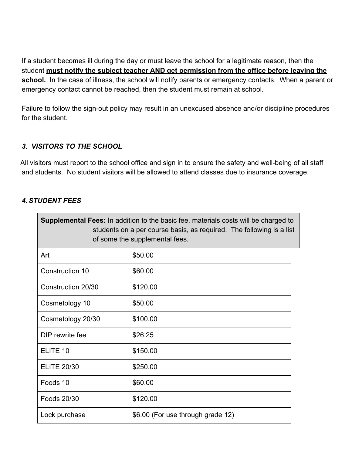If a student becomes ill during the day or must leave the school for a legitimate reason, then the student **must notify the subject teacher AND get permission from the office before leaving the** school. In the case of illness, the school will notify parents or emergency contacts. When a parent or emergency contact cannot be reached, then the student must remain at school.

Failure to follow the sign-out policy may result in an unexcused absence and/or discipline procedures for the student.

#### *3. VISITORS TO THE SCHOOL*

 All visitors must report to the school office and sign in to ensure the safety and well-being of all staff and students. No student visitors will be allowed to attend classes due to insurance coverage.

#### *4. STUDENT FEES*

| <b>Supplemental Fees:</b> In addition to the basic fee, materials costs will be charged to<br>students on a per course basis, as required. The following is a list<br>of some the supplemental fees. |                                   |  |  |  |
|------------------------------------------------------------------------------------------------------------------------------------------------------------------------------------------------------|-----------------------------------|--|--|--|
| Art                                                                                                                                                                                                  | \$50.00                           |  |  |  |
| Construction 10                                                                                                                                                                                      | \$60.00                           |  |  |  |
| Construction 20/30                                                                                                                                                                                   | \$120.00                          |  |  |  |
| Cosmetology 10                                                                                                                                                                                       | \$50.00                           |  |  |  |
| Cosmetology 20/30                                                                                                                                                                                    | \$100.00                          |  |  |  |
| DIP rewrite fee                                                                                                                                                                                      | \$26.25                           |  |  |  |
| ELITE 10                                                                                                                                                                                             | \$150.00                          |  |  |  |
| <b>ELITE 20/30</b>                                                                                                                                                                                   | \$250.00                          |  |  |  |
| Foods 10                                                                                                                                                                                             | \$60.00                           |  |  |  |
| Foods 20/30                                                                                                                                                                                          | \$120.00                          |  |  |  |
| Lock purchase                                                                                                                                                                                        | \$6.00 (For use through grade 12) |  |  |  |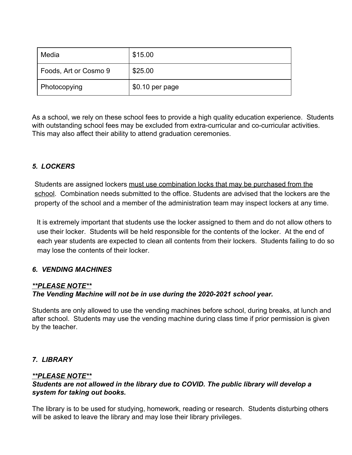| Media                 | \$15.00         |
|-----------------------|-----------------|
| Foods, Art or Cosmo 9 | \$25.00         |
| Photocopying          | \$0.10 per page |

As a school, we rely on these school fees to provide a high quality education experience. Students with outstanding school fees may be excluded from extra-curricular and co-curricular activities. This may also affect their ability to attend graduation ceremonies.

#### *5. LOCKERS*

Students are assigned lockers must use combination locks that may be purchased from the school. Combination needs submitted to the office. Students are advised that the lockers are the property of the school and a member of the administration team may inspect lockers at any time.

It is extremely important that students use the locker assigned to them and do not allow others to use their locker. Students will be held responsible for the contents of the locker. At the end of each year students are expected to clean all contents from their lockers. Students failing to do so may lose the contents of their locker.

#### *6. VENDING MACHINES*

#### *\*\*PLEASE NOTE\*\**

#### *The Vending Machine will not be in use during the 2020-2021 school year.*

Students are only allowed to use the vending machines before school, during breaks, at lunch and after school. Students may use the vending machine during class time if prior permission is given by the teacher.

#### *7. LIBRARY*

#### *\*\*PLEASE NOTE\*\**

#### *Students are not allowed in the library due to COVID. The public library will develop a system for taking out books.*

The library is to be used for studying, homework, reading or research. Students disturbing others will be asked to leave the library and may lose their library privileges.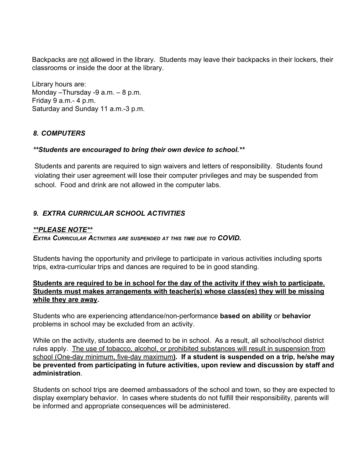Backpacks are not allowed in the library. Students may leave their backpacks in their lockers, their classrooms or inside the door at the library.

Library hours are: Monday –Thursday -9 a.m. – 8 p.m. Friday 9 a.m.- 4 p.m. Saturday and Sunday 11 a.m.-3 p.m.

#### *8. COMPUTERS*

#### *\*\*Students are encouraged to bring their own device to school.\*\**

Students and parents are required to sign waivers and letters of responsibility. Students found violating their user agreement will lose their computer privileges and may be suspended from school. Food and drink are not allowed in the computer labs.

#### *9. EXTRA CURRICULAR SCHOOL ACTIVITIES*

#### *\*\*PLEASE NOTE\*\**

*EXTRA CURRICULAR ACTIVITIES ARE SUSPENDED AT THIS TIME DUE TO COVID.*

Students having the opportunity and privilege to participate in various activities including sports trips, extra-curricular trips and dances are required to be in good standing.

#### **Students are required to be in school for the day of the activity if they wish to participate. Students must makes arrangements with teacher(s) whose class(es) they will be missing while they are away.**

Students who are experiencing attendance/non-performance **based on ability** or **behavior** problems in school may be excluded from an activity.

While on the activity, students are deemed to be in school. As a result, all school/school district rules apply. The use of tobacco, alcohol, or prohibited substances will result in suspension from school (One-day minimum, five-day maximum**). If a student is suspended on a trip, he/she may be prevented from participating in future activities, upon review and discussion by staff and administration**.

Students on school trips are deemed ambassadors of the school and town, so they are expected to display exemplary behavior. In cases where students do not fulfill their responsibility, parents will be informed and appropriate consequences will be administered.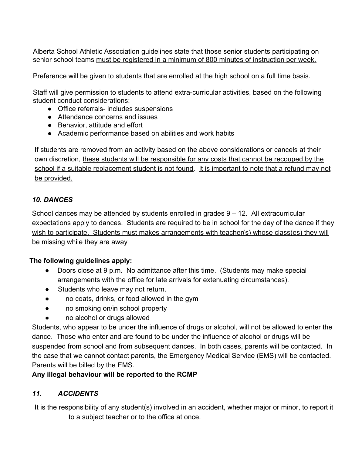Alberta School Athletic Association guidelines state that those senior students participating on senior school teams must be registered in a minimum of 800 minutes of instruction per week.

Preference will be given to students that are enrolled at the high school on a full time basis.

Staff will give permission to students to attend extra-curricular activities, based on the following student conduct considerations:

- Office referrals- includes suspensions
- Attendance concerns and issues
- Behavior, attitude and effort
- Academic performance based on abilities and work habits

If students are removed from an activity based on the above considerations or cancels at their own discretion, these students will be responsible for any costs that cannot be recouped by the school if a suitable replacement student is not found. It is important to note that a refund may not be provided.

#### *10. DANCES*

School dances may be attended by students enrolled in grades 9 – 12. All extracurricular expectations apply to dances. Students are required to be in school for the day of the dance if they wish to participate. Students must makes arrangements with teacher(s) whose class(es) they will be missing while they are away

#### **The following guidelines apply:**

- Doors close at 9 p.m. No admittance after this time. (Students may make special arrangements with the office for late arrivals for extenuating circumstances).
- Students who leave may not return.
- no coats, drinks, or food allowed in the gym
- no smoking on/in school property
- no alcohol or drugs allowed

Students, who appear to be under the influence of drugs or alcohol, will not be allowed to enter the dance. Those who enter and are found to be under the influence of alcohol or drugs will be suspended from school and from subsequent dances. In both cases, parents will be contacted. In the case that we cannot contact parents, the Emergency Medical Service (EMS) will be contacted. Parents will be billed by the EMS.

#### **Any illegal behaviour will be reported to the RCMP**

#### *11. ACCIDENTS*

It is the responsibility of any student(s) involved in an accident, whether major or minor, to report it to a subject teacher or to the office at once.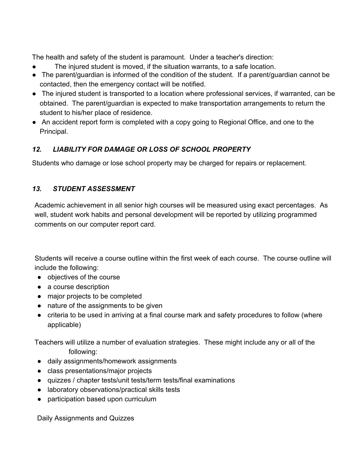The health and safety of the student is paramount. Under a teacher's direction:

- The injured student is moved, if the situation warrants, to a safe location.
- The parent/guardian is informed of the condition of the student. If a parent/guardian cannot be contacted, then the emergency contact will be notified.
- The injured student is transported to a location where professional services, if warranted, can be obtained. The parent/guardian is expected to make transportation arrangements to return the student to his/her place of residence.
- An accident report form is completed with a copy going to Regional Office, and one to the Principal.

#### *12. LIABILITY FOR DAMAGE OR LOSS OF SCHOOL PROPERTY*

Students who damage or lose school property may be charged for repairs or replacement.

#### *13. STUDENT ASSESSMENT*

Academic achievement in all senior high courses will be measured using exact percentages. As well, student work habits and personal development will be reported by utilizing programmed comments on our computer report card.

Students will receive a course outline within the first week of each course. The course outline will include the following:

- objectives of the course
- a course description
- major projects to be completed
- nature of the assignments to be given
- criteria to be used in arriving at a final course mark and safety procedures to follow (where applicable)

Teachers will utilize a number of evaluation strategies. These might include any or all of the following:

- daily assignments/homework assignments
- class presentations/major projects
- quizzes / chapter tests/unit tests/term tests/final examinations
- laboratory observations/practical skills tests
- participation based upon curriculum

Daily Assignments and Quizzes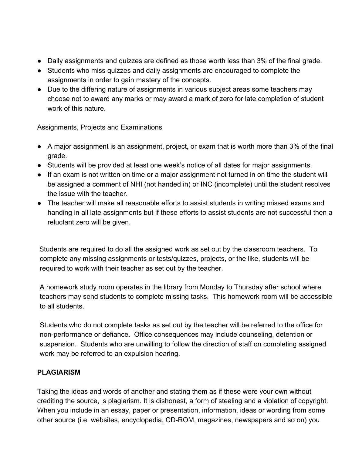- Daily assignments and quizzes are defined as those worth less than 3% of the final grade.
- Students who miss quizzes and daily assignments are encouraged to complete the assignments in order to gain mastery of the concepts.
- Due to the differing nature of assignments in various subject areas some teachers may choose not to award any marks or may award a mark of zero for late completion of student work of this nature.

Assignments, Projects and Examinations

- A major assignment is an assignment, project, or exam that is worth more than 3% of the final grade.
- Students will be provided at least one week's notice of all dates for major assignments.
- If an exam is not written on time or a major assignment not turned in on time the student will be assigned a comment of NHI (not handed in) or INC (incomplete) until the student resolves the issue with the teacher.
- The teacher will make all reasonable efforts to assist students in writing missed exams and handing in all late assignments but if these efforts to assist students are not successful then a reluctant zero will be given.

Students are required to do all the assigned work as set out by the classroom teachers. To complete any missing assignments or tests/quizzes, projects, or the like, students will be required to work with their teacher as set out by the teacher.

A homework study room operates in the library from Monday to Thursday after school where teachers may send students to complete missing tasks. This homework room will be accessible to all students.

Students who do not complete tasks as set out by the teacher will be referred to the office for non-performance or defiance. Office consequences may include counseling, detention or suspension. Students who are unwilling to follow the direction of staff on completing assigned work may be referred to an expulsion hearing.

#### **PLAGIARISM**

Taking the ideas and words of another and stating them as if these were your own without crediting the source, is plagiarism. It is dishonest, a form of stealing and a violation of copyright. When you include in an essay, paper or presentation, information, ideas or wording from some other source (i.e. websites, encyclopedia, CD-ROM, magazines, newspapers and so on) you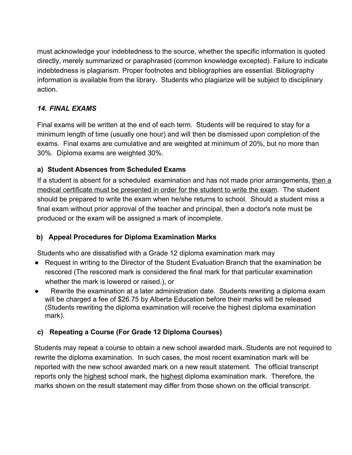must acknowledge your indebtedness to the source, whether the specific information is quoted directly, merely summarized or paraphrased (common knowledge excepted). Failure to indicate indebtedness is plagiarism. Proper footnotes and bibliographies are essential. Bibliography information is available from the library. Students who plagiarize will be subject to disciplinary action.

#### *14. FINAL EXAMS*

Final exams will be written at the end of each term. Students will be required to stay for a minimum length of time (usually one hour) and will then be dismissed upon completion of the exams. Final exams are cumulative and are weighted at minimum of 20%, but no more than 30%. Diploma exams are weighted 30%.

#### **a) Student Absences from Scheduled Exams**

If a student is absent for a scheduled examination and has not made prior arrangements, then a medical certificate must be presented in order for the student to write the exam. The student should be prepared to write the exam when he/she returns to school. Should a student miss a final exam without prior approval of the teacher and principal, then a doctor's note must be produced or the exam will be assigned a mark of incomplete.

#### **b) Appeal Procedures for Diploma Examination Marks**

Students who are dissatisfied with a Grade 12 diploma examination mark may

- Request in writing to the Director of the Student Evaluation Branch that the examination be rescored (The rescored mark is considered the final mark for that particular examination whether the mark is lowered or raised.), or
- Rewrite the examination at a later administration date. Students rewriting a diploma exam will be charged a fee of \$26.75 by Alberta Education before their marks will be released (Students rewriting the diploma examination will receive the highest diploma examination mark).

#### **c) Repeating a Course (For Grade 12 Diploma Courses)**

Students may repeat a course to obtain a new school awarded mark. Students are not required to rewrite the diploma examination. In such cases, the most recent examination mark will be reported with the new school awarded mark on a new result statement. The official transcript reports only the highest school mark, the highest diploma examination mark. Therefore, the marks shown on the result statement may differ from those shown on the official transcript.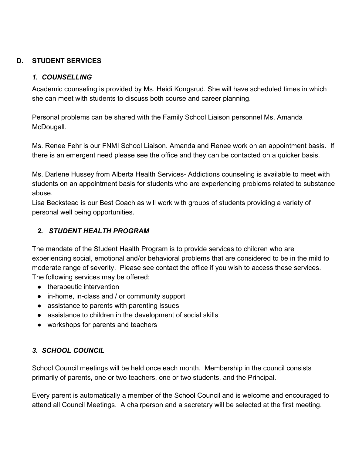#### **D. STUDENT SERVICES**

#### *1. COUNSELLING*

Academic counseling is provided by Ms. Heidi Kongsrud. She will have scheduled times in which she can meet with students to discuss both course and career planning.

Personal problems can be shared with the Family School Liaison personnel Ms. Amanda McDougall.

Ms. Renee Fehr is our FNMI School Liaison. Amanda and Renee work on an appointment basis. If there is an emergent need please see the office and they can be contacted on a quicker basis.

Ms. Darlene Hussey from Alberta Health Services- Addictions counseling is available to meet with students on an appointment basis for students who are experiencing problems related to substance abuse.

Lisa Beckstead is our Best Coach as will work with groups of students providing a variety of personal well being opportunities.

#### *2. STUDENT HEALTH PROGRAM*

The mandate of the Student Health Program is to provide services to children who are experiencing social, emotional and/or behavioral problems that are considered to be in the mild to moderate range of severity. Please see contact the office if you wish to access these services. The following services may be offered:

- therapeutic intervention
- in-home, in-class and / or community support
- assistance to parents with parenting issues
- assistance to children in the development of social skills
- workshops for parents and teachers

#### *3. SCHOOL COUNCIL*

School Council meetings will be held once each month. Membership in the council consists primarily of parents, one or two teachers, one or two students, and the Principal.

Every parent is automatically a member of the School Council and is welcome and encouraged to attend all Council Meetings. A chairperson and a secretary will be selected at the first meeting.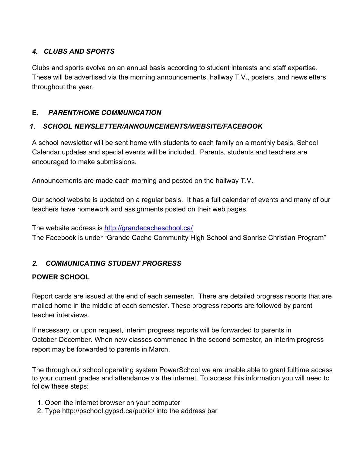#### *4. CLUBS AND SPORTS*

Clubs and sports evolve on an annual basis according to student interests and staff expertise. These will be advertised via the morning announcements, hallway T.V., posters, and newsletters throughout the year.

#### **E.** *PARENT/HOME COMMUNICATION*

#### *1. SCHOOL NEWSLETTER/ANNOUNCEMENTS/WEBSITE/FACEBOOK*

A school newsletter will be sent home with students to each family on a monthly basis. School Calendar updates and special events will be included. Parents, students and teachers are encouraged to make submissions.

Announcements are made each morning and posted on the hallway T.V.

Our school website is updated on a regular basis. It has a full calendar of events and many of our teachers have homework and assignments posted on their web pages.

#### The website address is <http://grandecacheschool.ca/>

The Facebook is under "Grande Cache Community High School and Sonrise Christian Program"

#### *2. COMMUNICATING STUDENT PROGRESS*

#### **POWER SCHOOL**

Report cards are issued at the end of each semester. There are detailed progress reports that are mailed home in the middle of each semester. These progress reports are followed by parent teacher interviews.

If necessary, or upon request, interim progress reports will be forwarded to parents in October-December. When new classes commence in the second semester, an interim progress report may be forwarded to parents in March.

The through our school operating system PowerSchool we are unable able to grant fulltime access to your current grades and attendance via the internet. To access this information you will need to follow these steps:

- 1. Open the internet browser on your computer
- 2. Type http://pschool.gypsd.ca/public/ into the address bar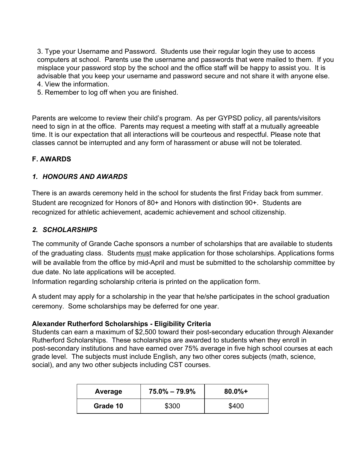3. Type your Username and Password. Students use their regular login they use to access computers at school. Parents use the username and passwords that were mailed to them. If you misplace your password stop by the school and the office staff will be happy to assist you. It is advisable that you keep your username and password secure and not share it with anyone else. 4. View the information.

5. Remember to log off when you are finished.

Parents are welcome to review their child's program. As per GYPSD policy, all parents/visitors need to sign in at the office. Parents may request a meeting with staff at a mutually agreeable time. It is our expectation that all interactions will be courteous and respectful. Please note that classes cannot be interrupted and any form of harassment or abuse will not be tolerated.

#### **F. AWARDS**

#### *1. HONOURS AND AWARDS*

There is an awards ceremony held in the school for students the first Friday back from summer. Student are recognized for Honors of 80+ and Honors with distinction 90+. Students are recognized for athletic achievement, academic achievement and school citizenship.

#### *2. SCHOLARSHIPS*

The community of Grande Cache sponsors a number of scholarships that are available to students of the graduating class. Students must make application for those scholarships. Applications forms will be available from the office by mid-April and must be submitted to the scholarship committee by due date. No late applications will be accepted.

Information regarding scholarship criteria is printed on the application form.

A student may apply for a scholarship in the year that he/she participates in the school graduation ceremony. Some scholarships may be deferred for one year.

#### **Alexander Rutherford Scholarships - Eligibility Criteria**

Students can earn a maximum of \$2,500 toward their post-secondary education through Alexander Rutherford Scholarships. These scholarships are awarded to students when they enroll in post-secondary institutions and have earned over 75% average in five high school courses at each grade level. The subjects must include English, any two other cores subjects (math, science, social), and any two other subjects including CST courses.

| Average  | $75.0\% - 79.9\%$ | $80.0\% +$ |
|----------|-------------------|------------|
| Grade 10 | \$300             | \$400      |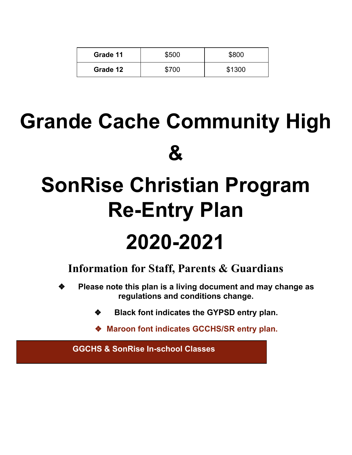| Grade 11 | \$500 | \$800  |
|----------|-------|--------|
| Grade 12 | \$700 | \$1300 |

# **Grande Cache Community High &**

# **SonRise Christian Program Re-Entry Plan 2020-2021**

### **Information for Staff, Parents & Guardians**

- ❖ **Please note this plan is a living document and may change as regulations and conditions change.**
	- ❖ **Black font indicates the GYPSD entry plan.**
	- ❖ **Maroon font indicates GCCHS/SR entry plan.**

**GGCHS & SonRise In-school Classes**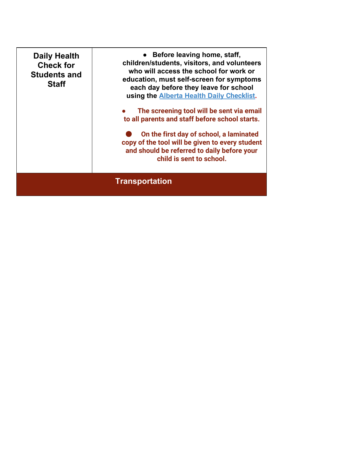| <b>Daily Health</b><br><b>Check for</b><br><b>Students and</b><br><b>Staff</b> | • Before leaving home, staff,<br>children/students, visitors, and volunteers<br>who will access the school for work or<br>education, must self-screen for symptoms<br>each day before they leave for school<br>using the <b>Alberta Health Daily Checklist</b> .<br>The screening tool will be sent via email<br>to all parents and staff before school starts.<br>On the first day of school, a laminated<br>copy of the tool will be given to every student<br>and should be referred to daily before your<br>child is sent to school. |
|--------------------------------------------------------------------------------|------------------------------------------------------------------------------------------------------------------------------------------------------------------------------------------------------------------------------------------------------------------------------------------------------------------------------------------------------------------------------------------------------------------------------------------------------------------------------------------------------------------------------------------|
|                                                                                | <b>Transportation</b>                                                                                                                                                                                                                                                                                                                                                                                                                                                                                                                    |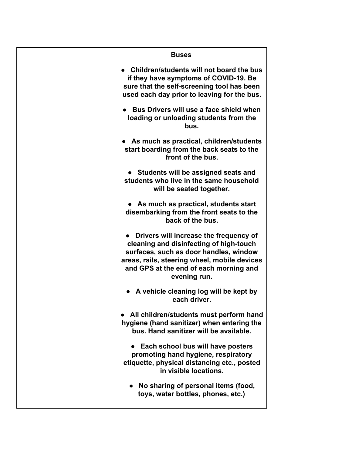| <b>Buses</b>                                   |
|------------------------------------------------|
| • Children/students will not board the bus     |
| if they have symptoms of COVID-19. Be          |
| sure that the self-screening tool has been     |
| used each day prior to leaving for the bus.    |
| Bus Drivers will use a face shield when        |
| loading or unloading students from the<br>bus. |
| As much as practical, children/students        |
| start boarding from the back seats to the      |
| front of the bus.                              |
| • Students will be assigned seats and          |
| students who live in the same household        |
| will be seated together.                       |
| • As much as practical, students start         |
| disembarking from the front seats to the       |
| back of the bus.                               |
| Drivers will increase the frequency of         |
| cleaning and disinfecting of high-touch        |
| surfaces, such as door handles, window         |
| areas, rails, steering wheel, mobile devices   |
| and GPS at the end of each morning and         |
| evening run.                                   |
| • A vehicle cleaning log will be kept by       |
| each driver.                                   |
| All children/students must perform hand        |
| hygiene (hand sanitizer) when entering the     |
| bus. Hand sanitizer will be available.         |
| Each school bus will have posters              |
| promoting hand hygiene, respiratory            |
| etiquette, physical distancing etc., posted    |
| in visible locations.                          |
| No sharing of personal items (food,            |
| toys, water bottles, phones, etc.)             |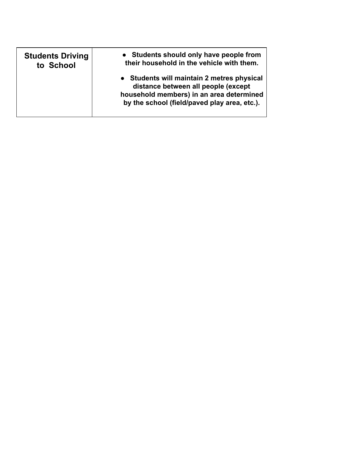| <b>Students Driving</b> | • Students should only have people from                                                                                                                                       |
|-------------------------|-------------------------------------------------------------------------------------------------------------------------------------------------------------------------------|
| to School               | their household in the vehicle with them.                                                                                                                                     |
|                         | • Students will maintain 2 metres physical<br>distance between all people (except<br>household members) in an area determined<br>by the school (field/paved play area, etc.). |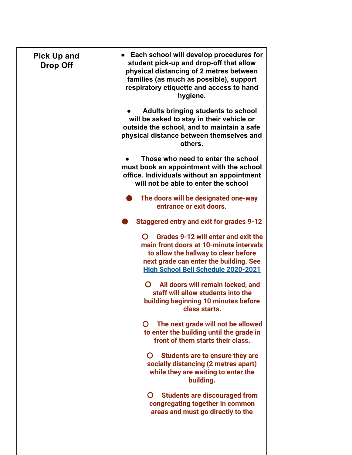| <b>Pick Up and</b><br><b>Drop Off</b> | • Each school will develop procedures for<br>student pick-up and drop-off that allow<br>physical distancing of 2 metres between<br>families (as much as possible), support<br>respiratory etiquette and access to hand<br>hygiene. |
|---------------------------------------|------------------------------------------------------------------------------------------------------------------------------------------------------------------------------------------------------------------------------------|
|                                       | Adults bringing students to school<br>will be asked to stay in their vehicle or<br>outside the school, and to maintain a safe<br>physical distance between themselves and<br>others.                                               |
|                                       | Those who need to enter the school<br>must book an appointment with the school<br>office. Individuals without an appointment<br>will not be able to enter the school                                                               |
|                                       | The doors will be designated one-way<br>entrance or exit doors.                                                                                                                                                                    |
|                                       | Staggered entry and exit for grades 9-12                                                                                                                                                                                           |
|                                       | Grades 9-12 will enter and exit the<br>$\Omega$<br>main front doors at 10-minute intervals<br>to allow the hallway to clear before<br>next grade can enter the building. See<br><b>High School Bell Schedule 2020-2021</b>         |
|                                       | $\mathbf{O}$<br>All doors will remain locked, and<br>staff will allow students into the<br>building beginning 10 minutes before<br>class starts.                                                                                   |
|                                       | The next grade will not be allowed<br>$\mathbf{O}$<br>to enter the building until the grade in<br>front of them starts their class.                                                                                                |
|                                       | Students are to ensure they are<br>socially distancing (2 metres apart)<br>while they are waiting to enter the<br>building.                                                                                                        |
|                                       | <b>Students are discouraged from</b><br>congregating together in common<br>areas and must go directly to the                                                                                                                       |
|                                       |                                                                                                                                                                                                                                    |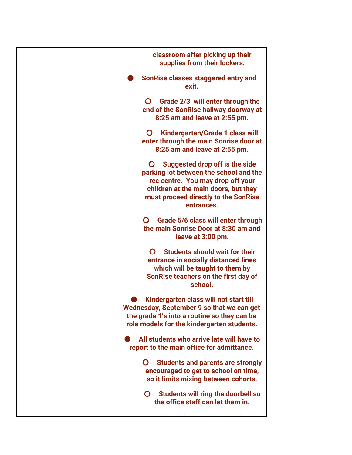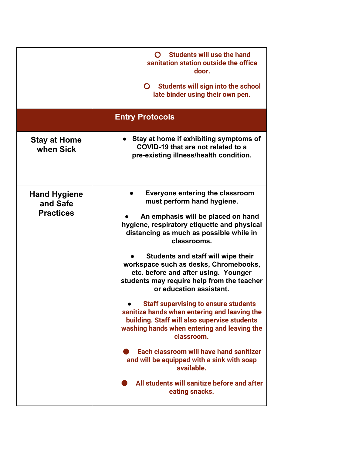|                                  | <b>Students will use the hand</b><br>O<br>sanitation station outside the office<br>door.<br><b>Students will sign into the school</b><br>$\mathbf{O}$<br>late binder using their own pen.                |
|----------------------------------|----------------------------------------------------------------------------------------------------------------------------------------------------------------------------------------------------------|
|                                  | <b>Entry Protocols</b>                                                                                                                                                                                   |
| <b>Stay at Home</b><br>when Sick | Stay at home if exhibiting symptoms of<br>COVID-19 that are not related to a<br>pre-existing illness/health condition.                                                                                   |
| <b>Hand Hygiene</b><br>and Safe  | Everyone entering the classroom<br>must perform hand hygiene.                                                                                                                                            |
| <b>Practices</b>                 | An emphasis will be placed on hand<br>hygiene, respiratory etiquette and physical<br>distancing as much as possible while in<br>classrooms.                                                              |
|                                  | Students and staff will wipe their<br>workspace such as desks, Chromebooks,<br>etc. before and after using. Younger<br>students may require help from the teacher<br>or education assistant.             |
|                                  | <b>Staff supervising to ensure students</b><br>sanitize hands when entering and leaving the<br>building. Staff will also supervise students<br>washing hands when entering and leaving the<br>classroom. |
|                                  | Each classroom will have hand sanitizer<br>and will be equipped with a sink with soap<br>available.                                                                                                      |
|                                  | All students will sanitize before and after<br>eating snacks.                                                                                                                                            |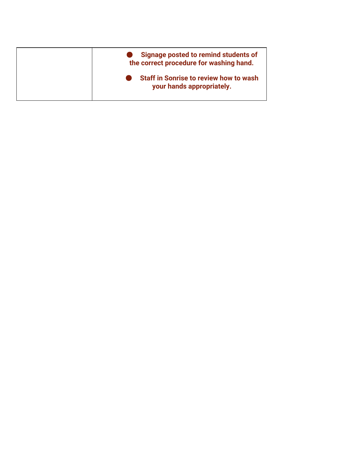| Signage posted to remind students of<br>the correct procedure for washing hand. |
|---------------------------------------------------------------------------------|
| <b>Staff in Sonrise to review how to wash</b><br>your hands appropriately.      |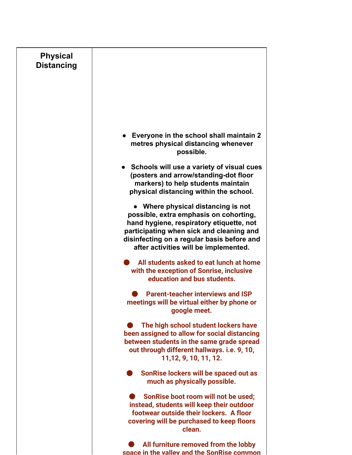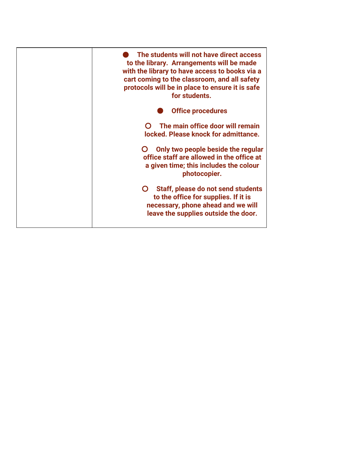| The students will not have direct access<br>to the library. Arrangements will be made<br>with the library to have access to books via a<br>cart coming to the classroom, and all safety<br>protocols will be in place to ensure it is safe<br>for students. |
|-------------------------------------------------------------------------------------------------------------------------------------------------------------------------------------------------------------------------------------------------------------|
| <b>Office procedures</b>                                                                                                                                                                                                                                    |
| The main office door will remain<br>locked. Please knock for admittance.                                                                                                                                                                                    |
| Only two people beside the regular<br>office staff are allowed in the office at<br>a given time; this includes the colour<br>photocopier.                                                                                                                   |
| Staff, please do not send students<br>$\mathbf C$<br>to the office for supplies. If it is<br>necessary, phone ahead and we will<br>leave the supplies outside the door.                                                                                     |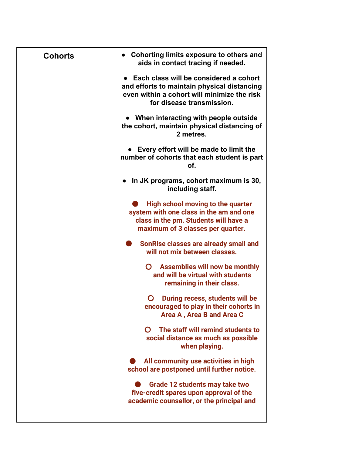| <b>Cohorts</b> | • Cohorting limits exposure to others and<br>aids in contact tracing if needed.                                                                                     |
|----------------|---------------------------------------------------------------------------------------------------------------------------------------------------------------------|
|                | • Each class will be considered a cohort<br>and efforts to maintain physical distancing<br>even within a cohort will minimize the risk<br>for disease transmission. |
|                | • When interacting with people outside<br>the cohort, maintain physical distancing of<br>2 metres.                                                                  |
|                | Every effort will be made to limit the<br>number of cohorts that each student is part<br>of.                                                                        |
|                | In JK programs, cohort maximum is 30,<br>$\bullet$<br>including staff.                                                                                              |
|                | High school moving to the quarter<br>system with one class in the am and one<br>class in the pm. Students will have a<br>maximum of 3 classes per quarter.          |
|                | SonRise classes are already small and<br>will not mix between classes.                                                                                              |
|                | <b>Assemblies will now be monthly</b><br>O<br>and will be virtual with students<br>remaining in their class.                                                        |
|                | During recess, students will be<br>O<br>encouraged to play in their cohorts in<br>Area A, Area B and Area C                                                         |
|                | The staff will remind students to<br>$\Omega$<br>social distance as much as possible<br>when playing.                                                               |
|                | All community use activities in high<br>school are postponed until further notice.                                                                                  |
|                | Grade 12 students may take two<br>five-credit spares upon approval of the<br>academic counsellor, or the principal and                                              |
|                |                                                                                                                                                                     |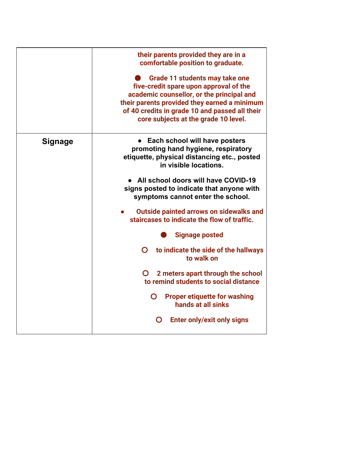|                | their parents provided they are in a<br>comfortable position to graduate.                                                                                                                                                                                       |
|----------------|-----------------------------------------------------------------------------------------------------------------------------------------------------------------------------------------------------------------------------------------------------------------|
|                | Grade 11 students may take one<br>five-credit spare upon approval of the<br>academic counsellor, or the principal and<br>their parents provided they earned a minimum<br>of 40 credits in grade 10 and passed all their<br>core subjects at the grade 10 level. |
| <b>Signage</b> | Each school will have posters<br>$\bullet$<br>promoting hand hygiene, respiratory<br>etiquette, physical distancing etc., posted<br>in visible locations.                                                                                                       |
|                | All school doors will have COVID-19<br>signs posted to indicate that anyone with<br>symptoms cannot enter the school.                                                                                                                                           |
|                | <b>Outside painted arrows on sidewalks and</b><br>staircases to indicate the flow of traffic.                                                                                                                                                                   |
|                | <b>Signage posted</b>                                                                                                                                                                                                                                           |
|                | to indicate the side of the hallways<br>O<br>to walk on                                                                                                                                                                                                         |
|                | 2 meters apart through the school<br>to remind students to social distance                                                                                                                                                                                      |
|                | <b>Proper etiquette for washing</b><br>$\mathbf{O}$<br>hands at all sinks                                                                                                                                                                                       |
|                | <b>Enter only/exit only signs</b><br>Ő                                                                                                                                                                                                                          |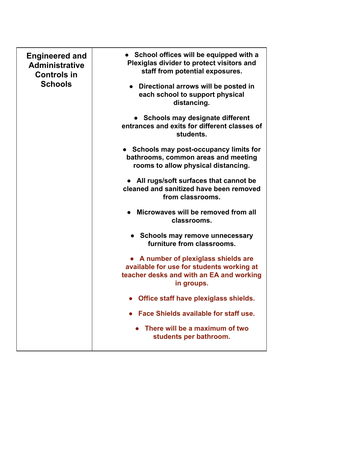| <b>Engineered and</b><br><b>Administrative</b><br><b>Controls in</b><br><b>Schools</b> | • School offices will be equipped with a<br>Plexiglas divider to protect visitors and<br>staff from potential exposures.                  |
|----------------------------------------------------------------------------------------|-------------------------------------------------------------------------------------------------------------------------------------------|
|                                                                                        | Directional arrows will be posted in<br>each school to support physical<br>distancing.                                                    |
|                                                                                        | • Schools may designate different<br>entrances and exits for different classes of<br>students.                                            |
|                                                                                        | • Schools may post-occupancy limits for<br>bathrooms, common areas and meeting<br>rooms to allow physical distancing.                     |
|                                                                                        | All rugs/soft surfaces that cannot be<br>cleaned and sanitized have been removed<br>from classrooms.                                      |
|                                                                                        | Microwaves will be removed from all<br>classrooms.                                                                                        |
|                                                                                        | • Schools may remove unnecessary<br>furniture from classrooms.                                                                            |
|                                                                                        | A number of plexiglass shields are<br>available for use for students working at<br>teacher desks and with an EA and working<br>in groups. |
|                                                                                        | Office staff have plexiglass shields.                                                                                                     |
|                                                                                        | Face Shields available for staff use.                                                                                                     |
|                                                                                        | There will be a maximum of two<br>students per bathroom.                                                                                  |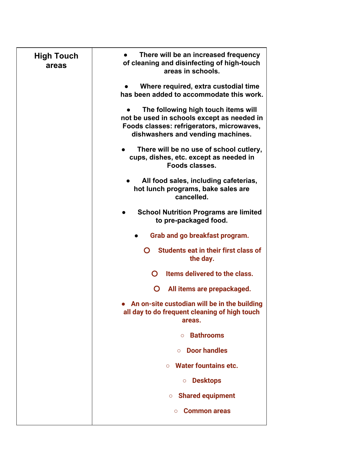| <b>High Touch</b><br>areas | There will be an increased frequency<br>of cleaning and disinfecting of high-touch<br>areas in schools.                                                             |
|----------------------------|---------------------------------------------------------------------------------------------------------------------------------------------------------------------|
|                            | Where required, extra custodial time<br>has been added to accommodate this work.                                                                                    |
|                            | The following high touch items will<br>not be used in schools except as needed in<br>Foods classes: refrigerators, microwaves,<br>dishwashers and vending machines. |
|                            | There will be no use of school cutlery,<br>cups, dishes, etc. except as needed in<br>Foods classes.                                                                 |
|                            | All food sales, including cafeterias,<br>hot lunch programs, bake sales are<br>cancelled.                                                                           |
|                            | <b>School Nutrition Programs are limited</b><br>to pre-packaged food.                                                                                               |
|                            | Grab and go breakfast program.                                                                                                                                      |
|                            | Students eat in their first class of<br>O<br>the day.                                                                                                               |
|                            | $\mathbf O$<br>Items delivered to the class.                                                                                                                        |
|                            | All items are prepackaged.<br>O                                                                                                                                     |
|                            | An on-site custodian will be in the building<br>all day to do frequent cleaning of high touch<br>areas.                                                             |
|                            | <b>Bathrooms</b><br>$\circ$                                                                                                                                         |
|                            | <b>Door handles</b>                                                                                                                                                 |
|                            | <b>Water fountains etc.</b><br>$\circ$                                                                                                                              |
|                            | <b>Desktops</b><br>$\circ$                                                                                                                                          |
|                            | <b>Shared equipment</b><br>$\circ$                                                                                                                                  |
|                            | <b>Common areas</b><br>$\circ$                                                                                                                                      |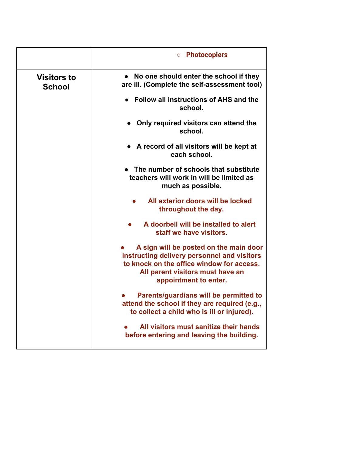|                                     | <b>Photocopiers</b><br>$\circ$                                                                                                                                                                  |
|-------------------------------------|-------------------------------------------------------------------------------------------------------------------------------------------------------------------------------------------------|
| <b>Visitors to</b><br><b>School</b> | No one should enter the school if they<br>$\bullet$<br>are ill. (Complete the self-assessment tool)                                                                                             |
|                                     | Follow all instructions of AHS and the<br>school.                                                                                                                                               |
|                                     | Only required visitors can attend the<br>school.                                                                                                                                                |
|                                     | $\bullet$ A record of all visitors will be kept at<br>each school.                                                                                                                              |
|                                     | The number of schools that substitute<br>teachers will work in will be limited as<br>much as possible.                                                                                          |
|                                     | All exterior doors will be locked<br>throughout the day.                                                                                                                                        |
|                                     | A doorbell will be installed to alert<br>staff we have visitors.                                                                                                                                |
|                                     | A sign will be posted on the main door<br>instructing delivery personnel and visitors<br>to knock on the office window for access.<br>All parent visitors must have an<br>appointment to enter. |
|                                     | Parents/guardians will be permitted to<br>attend the school if they are required (e.g.,<br>to collect a child who is ill or injured).                                                           |
|                                     | All visitors must sanitize their hands<br>before entering and leaving the building.                                                                                                             |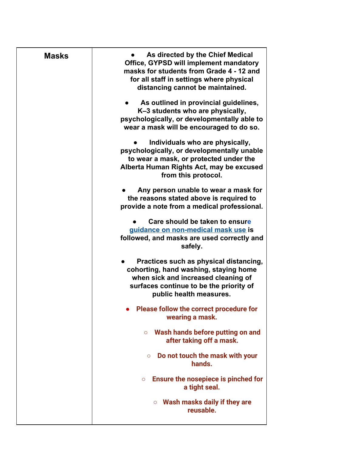| <b>Masks</b> | As directed by the Chief Medical<br><b>Office, GYPSD will implement mandatory</b><br>masks for students from Grade 4 - 12 and<br>for all staff in settings where physical<br>distancing cannot be maintained. |
|--------------|---------------------------------------------------------------------------------------------------------------------------------------------------------------------------------------------------------------|
|              | As outlined in provincial guidelines,<br>K-3 students who are physically,<br>psychologically, or developmentally able to<br>wear a mask will be encouraged to do so.                                          |
|              | Individuals who are physically,<br>psychologically, or developmentally unable<br>to wear a mask, or protected under the<br>Alberta Human Rights Act, may be excused<br>from this protocol.                    |
|              | Any person unable to wear a mask for<br>the reasons stated above is required to<br>provide a note from a medical professional.                                                                                |
|              | Care should be taken to ensure<br>guidance on non-medical mask use is<br>followed, and masks are used correctly and<br>safely.                                                                                |
|              | Practices such as physical distancing,<br>cohorting, hand washing, staying home<br>when sick and increased cleaning of<br>surfaces continue to be the priority of<br>public health measures.                  |
|              | <b>Please follow the correct procedure for</b><br>wearing a mask.                                                                                                                                             |
|              | Wash hands before putting on and<br>$\circ$<br>after taking off a mask.                                                                                                                                       |
|              | Do not touch the mask with your<br>$\circ$<br>hands.                                                                                                                                                          |
|              | Ensure the nosepiece is pinched for<br>$\circ$<br>a tight seal.                                                                                                                                               |
|              | Wash masks daily if they are<br>$\circ$<br>reusable.                                                                                                                                                          |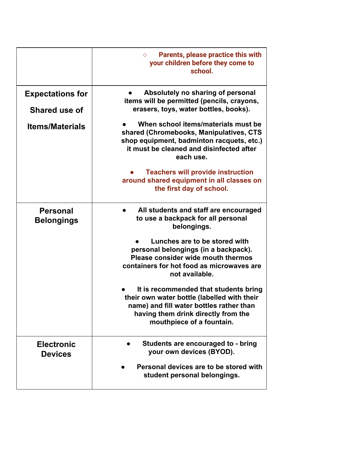|                                                 | <b>Parents, please practice this with</b><br>$\circ$<br>your children before they come to<br>school.                                                                                                 |
|-------------------------------------------------|------------------------------------------------------------------------------------------------------------------------------------------------------------------------------------------------------|
| <b>Expectations for</b><br><b>Shared use of</b> | Absolutely no sharing of personal<br>items will be permitted (pencils, crayons,<br>erasers, toys, water bottles, books).                                                                             |
| <b>Items/Materials</b>                          | When school items/materials must be<br>shared (Chromebooks, Manipulatives, CTS<br>shop equipment, badminton racquets, etc.)<br>it must be cleaned and disinfected after<br>each use.                 |
|                                                 | <b>Teachers will provide instruction</b><br>around shared equipment in all classes on<br>the first day of school.                                                                                    |
| <b>Personal</b><br><b>Belongings</b>            | All students and staff are encouraged<br>to use a backpack for all personal<br>belongings.                                                                                                           |
|                                                 | Lunches are to be stored with<br>personal belongings (in a backpack).<br>Please consider wide mouth thermos<br>containers for hot food as microwaves are<br>not available.                           |
|                                                 | It is recommended that students bring<br>their own water bottle (labelled with their<br>name) and fill water bottles rather than<br>having them drink directly from the<br>mouthpiece of a fountain. |
| <b>Electronic</b><br><b>Devices</b>             | Students are encouraged to - bring<br>your own devices (BYOD).                                                                                                                                       |
|                                                 | Personal devices are to be stored with<br>student personal belongings.                                                                                                                               |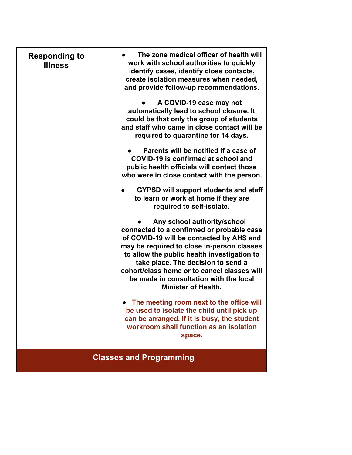| <b>Responding to</b><br><b>Illness</b> | The zone medical officer of health will<br>work with school authorities to quickly<br>identify cases, identify close contacts,<br>create isolation measures when needed,<br>and provide follow-up recommendations.                                                                                                                                                             |
|----------------------------------------|--------------------------------------------------------------------------------------------------------------------------------------------------------------------------------------------------------------------------------------------------------------------------------------------------------------------------------------------------------------------------------|
|                                        | A COVID-19 case may not<br>automatically lead to school closure. It<br>could be that only the group of students<br>and staff who came in close contact will be<br>required to quarantine for 14 days.                                                                                                                                                                          |
|                                        | Parents will be notified if a case of<br>COVID-19 is confirmed at school and<br>public health officials will contact those<br>who were in close contact with the person.                                                                                                                                                                                                       |
|                                        | <b>GYPSD will support students and staff</b><br>to learn or work at home if they are<br>required to self-isolate.                                                                                                                                                                                                                                                              |
|                                        | Any school authority/school<br>connected to a confirmed or probable case<br>of COVID-19 will be contacted by AHS and<br>may be required to close in-person classes<br>to allow the public health investigation to<br>take place. The decision to send a<br>cohort/class home or to cancel classes will<br>be made in consultation with the local<br><b>Minister of Health.</b> |
|                                        | • The meeting room next to the office will<br>be used to isolate the child until pick up<br>can be arranged. If it is busy, the student<br>workroom shall function as an isolation<br>space.                                                                                                                                                                                   |
|                                        | <b>Classes and Programming</b>                                                                                                                                                                                                                                                                                                                                                 |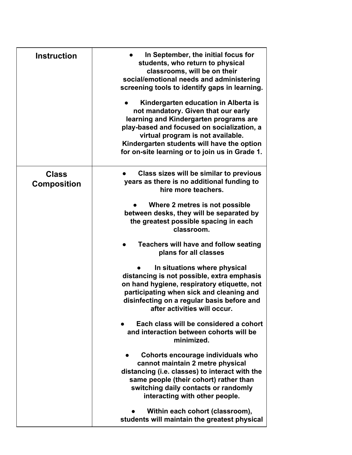| <b>Instruction</b>                 | In September, the initial focus for<br>students, who return to physical<br>classrooms, will be on their<br>social/emotional needs and administering<br>screening tools to identify gaps in learning.<br>Kindergarten education in Alberta is<br>not mandatory. Given that our early<br>learning and Kindergarten programs are<br>play-based and focused on socialization, a<br>virtual program is not available.<br>Kindergarten students will have the option<br>for on-site learning or to join us in Grade 1. |
|------------------------------------|------------------------------------------------------------------------------------------------------------------------------------------------------------------------------------------------------------------------------------------------------------------------------------------------------------------------------------------------------------------------------------------------------------------------------------------------------------------------------------------------------------------|
| <b>Class</b><br><b>Composition</b> | Class sizes will be similar to previous<br>years as there is no additional funding to<br>hire more teachers.                                                                                                                                                                                                                                                                                                                                                                                                     |
|                                    | Where 2 metres is not possible<br>between desks, they will be separated by<br>the greatest possible spacing in each<br>classroom.                                                                                                                                                                                                                                                                                                                                                                                |
|                                    | <b>Teachers will have and follow seating</b><br>plans for all classes                                                                                                                                                                                                                                                                                                                                                                                                                                            |
|                                    | In situations where physical<br>distancing is not possible, extra emphasis<br>on hand hygiene, respiratory etiquette, not<br>participating when sick and cleaning and<br>disinfecting on a regular basis before and<br>after activities will occur.                                                                                                                                                                                                                                                              |
|                                    | Each class will be considered a cohort<br>and interaction between cohorts will be<br>minimized.                                                                                                                                                                                                                                                                                                                                                                                                                  |
|                                    | Cohorts encourage individuals who<br>cannot maintain 2 metre physical<br>distancing (i.e. classes) to interact with the<br>same people (their cohort) rather than<br>switching daily contacts or randomly<br>interacting with other people.                                                                                                                                                                                                                                                                      |
|                                    | Within each cohort (classroom),<br>students will maintain the greatest physical                                                                                                                                                                                                                                                                                                                                                                                                                                  |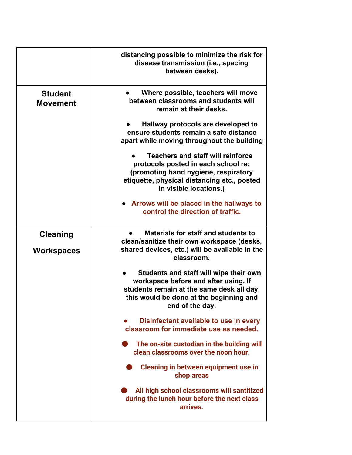|                                      | distancing possible to minimize the risk for<br>disease transmission (i.e., spacing<br>between desks).                                                                                           |
|--------------------------------------|--------------------------------------------------------------------------------------------------------------------------------------------------------------------------------------------------|
| <b>Student</b><br><b>Movement</b>    | Where possible, teachers will move<br>between classrooms and students will<br>remain at their desks.                                                                                             |
|                                      | Hallway protocols are developed to<br>ensure students remain a safe distance<br>apart while moving throughout the building                                                                       |
|                                      | <b>Teachers and staff will reinforce</b><br>protocols posted in each school re:<br>(promoting hand hygiene, respiratory<br>etiquette, physical distancing etc., posted<br>in visible locations.) |
|                                      | • Arrows will be placed in the hallways to<br>control the direction of traffic.                                                                                                                  |
| <b>Cleaning</b><br><b>Workspaces</b> | <b>Materials for staff and students to</b><br>clean/sanitize their own workspace (desks,<br>shared devices, etc.) will be available in the<br>classroom.                                         |
|                                      | Students and staff will wipe their own<br>workspace before and after using. If<br>students remain at the same desk all day,<br>this would be done at the beginning and<br>end of the day.        |
|                                      | Disinfectant available to use in every<br>classroom for immediate use as needed.                                                                                                                 |
|                                      | The on-site custodian in the building will<br>clean classrooms over the noon hour.                                                                                                               |
|                                      | <b>Cleaning in between equipment use in</b><br>shop areas                                                                                                                                        |
|                                      | All high school classrooms will santitized<br>during the lunch hour before the next class<br>arrives.                                                                                            |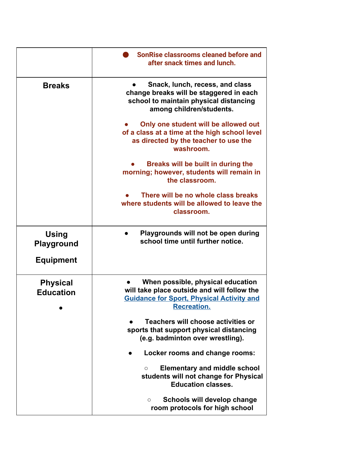|                                     | SonRise classrooms cleaned before and<br>after snack times and lunch.                                                                                      |
|-------------------------------------|------------------------------------------------------------------------------------------------------------------------------------------------------------|
| <b>Breaks</b>                       | Snack, lunch, recess, and class<br>change breaks will be staggered in each<br>school to maintain physical distancing<br>among children/students.           |
|                                     | Only one student will be allowed out<br>of a class at a time at the high school level<br>as directed by the teacher to use the<br>washroom.                |
|                                     | Breaks will be built in during the<br>morning; however, students will remain in<br>the classroom.                                                          |
|                                     | There will be no whole class breaks<br>where students will be allowed to leave the<br>classroom.                                                           |
| <b>Using</b><br><b>Playground</b>   | Playgrounds will not be open during<br>school time until further notice.                                                                                   |
| <b>Equipment</b>                    |                                                                                                                                                            |
| <b>Physical</b><br><b>Education</b> | When possible, physical education<br>will take place outside and will follow the<br><b>Guidance for Sport, Physical Activity and</b><br><b>Recreation.</b> |
|                                     | Teachers will choose activities or<br>sports that support physical distancing<br>(e.g. badminton over wrestling).                                          |
|                                     | Locker rooms and change rooms:                                                                                                                             |
|                                     | <b>Elementary and middle school</b><br>$\circ$<br>students will not change for Physical<br><b>Education classes.</b>                                       |
|                                     | Schools will develop change<br>$\circ$<br>room protocols for high school                                                                                   |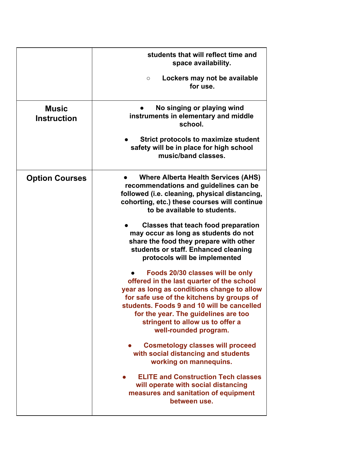|                                    | students that will reflect time and<br>space availability.<br>Lockers may not be available<br>$\circ$                                                                                                                                                                                                                       |
|------------------------------------|-----------------------------------------------------------------------------------------------------------------------------------------------------------------------------------------------------------------------------------------------------------------------------------------------------------------------------|
|                                    | for use.                                                                                                                                                                                                                                                                                                                    |
| <b>Music</b><br><b>Instruction</b> | No singing or playing wind<br>instruments in elementary and middle<br>school.                                                                                                                                                                                                                                               |
|                                    | <b>Strict protocols to maximize student</b><br>safety will be in place for high school<br>music/band classes.                                                                                                                                                                                                               |
| <b>Option Courses</b>              | <b>Where Alberta Health Services (AHS)</b><br>recommendations and guidelines can be<br>followed (i.e. cleaning, physical distancing,<br>cohorting, etc.) these courses will continue<br>to be available to students.                                                                                                        |
|                                    | <b>Classes that teach food preparation</b><br>may occur as long as students do not<br>share the food they prepare with other<br>students or staff. Enhanced cleaning<br>protocols will be implemented                                                                                                                       |
|                                    | Foods 20/30 classes will be only<br>offered in the last quarter of the school<br>year as long as conditions change to allow<br>for safe use of the kitchens by groups of<br>students. Foods 9 and 10 will be cancelled<br>for the year. The guidelines are too<br>stringent to allow us to offer a<br>well-rounded program. |
|                                    | <b>Cosmetology classes will proceed</b><br>with social distancing and students<br>working on mannequins.                                                                                                                                                                                                                    |
|                                    | <b>ELITE and Construction Tech classes</b><br>will operate with social distancing<br>measures and sanitation of equipment<br>between use.                                                                                                                                                                                   |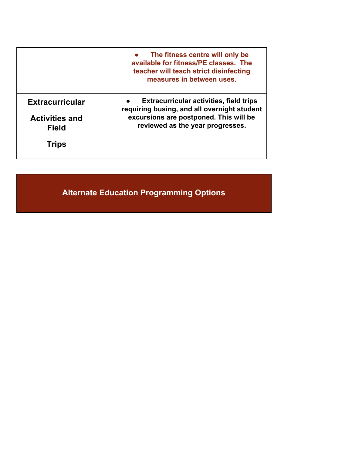|                                       | The fitness centre will only be<br>available for fitness/PE classes. The<br>teacher will teach strict disinfecting<br>measures in between uses. |
|---------------------------------------|-------------------------------------------------------------------------------------------------------------------------------------------------|
| <b>Extracurricular</b>                | <b>Extracurricular activities, field trips</b><br>requiring busing, and all overnight student                                                   |
| <b>Activities and</b><br><b>Field</b> | excursions are postponed. This will be<br>reviewed as the year progresses.                                                                      |
| <b>Trips</b>                          |                                                                                                                                                 |

**Alternate Education Programming Options**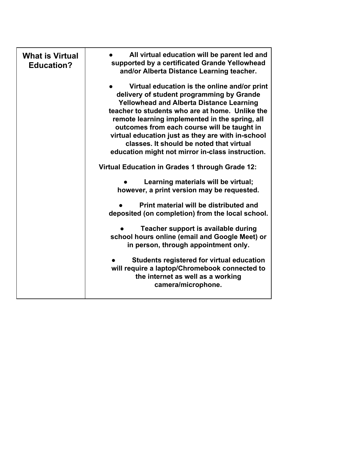| <b>What is Virtual</b><br><b>Education?</b> | All virtual education will be parent led and<br>supported by a certificated Grande Yellowhead<br>and/or Alberta Distance Learning teacher.<br>Virtual education is the online and/or print<br>delivery of student programming by Grande<br><b>Yellowhead and Alberta Distance Learning</b><br>teacher to students who are at home. Unlike the<br>remote learning implemented in the spring, all<br>outcomes from each course will be taught in<br>virtual education just as they are with in-school<br>classes. It should be noted that virtual<br>education might not mirror in-class instruction.<br>Virtual Education in Grades 1 through Grade 12:<br>Learning materials will be virtual;<br>however, a print version may be requested. |
|---------------------------------------------|---------------------------------------------------------------------------------------------------------------------------------------------------------------------------------------------------------------------------------------------------------------------------------------------------------------------------------------------------------------------------------------------------------------------------------------------------------------------------------------------------------------------------------------------------------------------------------------------------------------------------------------------------------------------------------------------------------------------------------------------|
|                                             | Print material will be distributed and<br>deposited (on completion) from the local school.                                                                                                                                                                                                                                                                                                                                                                                                                                                                                                                                                                                                                                                  |
|                                             | Teacher support is available during<br>school hours online (email and Google Meet) or<br>in person, through appointment only.                                                                                                                                                                                                                                                                                                                                                                                                                                                                                                                                                                                                               |
|                                             | Students registered for virtual education<br>will require a laptop/Chromebook connected to<br>the internet as well as a working<br>camera/microphone.                                                                                                                                                                                                                                                                                                                                                                                                                                                                                                                                                                                       |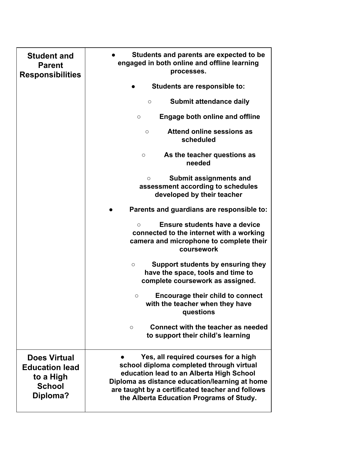| <b>Student and</b><br><b>Parent</b><br><b>Responsibilities</b>                         | Students and parents are expected to be<br>engaged in both online and offline learning<br>processes.                                                                                                                                                                           |
|----------------------------------------------------------------------------------------|--------------------------------------------------------------------------------------------------------------------------------------------------------------------------------------------------------------------------------------------------------------------------------|
|                                                                                        | Students are responsible to:                                                                                                                                                                                                                                                   |
|                                                                                        | Submit attendance daily<br>$\circ$                                                                                                                                                                                                                                             |
|                                                                                        | <b>Engage both online and offline</b><br>$\circ$                                                                                                                                                                                                                               |
|                                                                                        | Attend online sessions as<br>$\circ$<br>scheduled                                                                                                                                                                                                                              |
|                                                                                        | As the teacher questions as<br>O<br>needed                                                                                                                                                                                                                                     |
|                                                                                        | <b>Submit assignments and</b><br>$\circ$<br>assessment according to schedules<br>developed by their teacher                                                                                                                                                                    |
|                                                                                        | Parents and guardians are responsible to:                                                                                                                                                                                                                                      |
|                                                                                        | Ensure students have a device<br>$\circ$<br>connected to the internet with a working<br>camera and microphone to complete their<br>coursework                                                                                                                                  |
|                                                                                        | Support students by ensuring they<br>$\circ$<br>have the space, tools and time to<br>complete coursework as assigned.                                                                                                                                                          |
|                                                                                        | Encourage their child to connect<br>O<br>with the teacher when they have<br>questions                                                                                                                                                                                          |
|                                                                                        | Connect with the teacher as needed<br>$\circ$<br>to support their child's learning                                                                                                                                                                                             |
| <b>Does Virtual</b><br><b>Education lead</b><br>to a High<br><b>School</b><br>Diploma? | Yes, all required courses for a high<br>school diploma completed through virtual<br>education lead to an Alberta High School<br>Diploma as distance education/learning at home<br>are taught by a certificated teacher and follows<br>the Alberta Education Programs of Study. |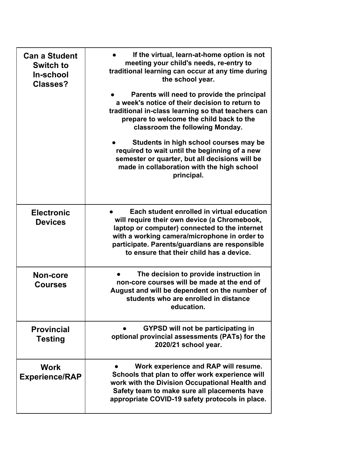| <b>Can a Student</b><br><b>Switch to</b><br>In-school<br><b>Classes?</b> | If the virtual, learn-at-home option is not<br>meeting your child's needs, re-entry to<br>traditional learning can occur at any time during<br>the school year.<br>Parents will need to provide the principal<br>a week's notice of their decision to return to<br>traditional in-class learning so that teachers can<br>prepare to welcome the child back to the<br>classroom the following Monday. |
|--------------------------------------------------------------------------|------------------------------------------------------------------------------------------------------------------------------------------------------------------------------------------------------------------------------------------------------------------------------------------------------------------------------------------------------------------------------------------------------|
|                                                                          | Students in high school courses may be<br>required to wait until the beginning of a new<br>semester or quarter, but all decisions will be<br>made in collaboration with the high school<br>principal.                                                                                                                                                                                                |
| <b>Electronic</b><br><b>Devices</b>                                      | Each student enrolled in virtual education<br>will require their own device (a Chromebook,<br>laptop or computer) connected to the internet<br>with a working camera/microphone in order to<br>participate. Parents/guardians are responsible<br>to ensure that their child has a device.                                                                                                            |
| Non-core<br><b>Courses</b>                                               | The decision to provide instruction in<br>non-core courses will be made at the end of<br>August and will be dependent on the number of<br>students who are enrolled in distance<br>education.                                                                                                                                                                                                        |
| <b>Provincial</b><br><b>Testing</b>                                      | <b>GYPSD will not be participating in</b><br>optional provincial assessments (PATs) for the<br>2020/21 school year.                                                                                                                                                                                                                                                                                  |
| <b>Work</b><br><b>Experience/RAP</b>                                     | Work experience and RAP will resume.<br>Schools that plan to offer work experience will<br>work with the Division Occupational Health and<br>Safety team to make sure all placements have<br>appropriate COVID-19 safety protocols in place.                                                                                                                                                         |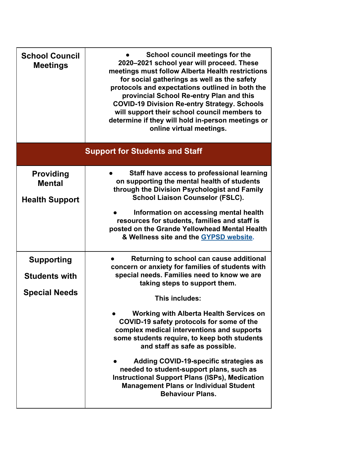| <b>School Council</b><br><b>Meetings</b>                          | School council meetings for the<br>2020-2021 school year will proceed. These<br>meetings must follow Alberta Health restrictions<br>for social gatherings as well as the safety<br>protocols and expectations outlined in both the<br>provincial School Re-entry Plan and this<br><b>COVID-19 Division Re-entry Strategy. Schools</b><br>will support their school council members to<br>determine if they will hold in-person meetings or<br>online virtual meetings.                                                                                                                                                                                   |  |  |
|-------------------------------------------------------------------|----------------------------------------------------------------------------------------------------------------------------------------------------------------------------------------------------------------------------------------------------------------------------------------------------------------------------------------------------------------------------------------------------------------------------------------------------------------------------------------------------------------------------------------------------------------------------------------------------------------------------------------------------------|--|--|
|                                                                   | <b>Support for Students and Staff</b>                                                                                                                                                                                                                                                                                                                                                                                                                                                                                                                                                                                                                    |  |  |
| <b>Providing</b><br><b>Mental</b><br><b>Health Support</b>        | Staff have access to professional learning<br>on supporting the mental health of students<br>through the Division Psychologist and Family<br><b>School Liaison Counselor (FSLC).</b><br>Information on accessing mental health<br>resources for students, families and staff is<br>posted on the Grande Yellowhead Mental Health<br>& Wellness site and the GYPSD website.                                                                                                                                                                                                                                                                               |  |  |
| <b>Supporting</b><br><b>Students with</b><br><b>Special Needs</b> | Returning to school can cause additional<br>concern or anxiety for families of students with<br>special needs. Families need to know we are<br>taking steps to support them.<br>This includes:<br><b>Working with Alberta Health Services on</b><br>COVID-19 safety protocols for some of the<br>complex medical interventions and supports<br>some students require, to keep both students<br>and staff as safe as possible.<br>Adding COVID-19-specific strategies as<br>needed to student-support plans, such as<br><b>Instructional Support Plans (ISPs), Medication</b><br><b>Management Plans or Individual Student</b><br><b>Behaviour Plans.</b> |  |  |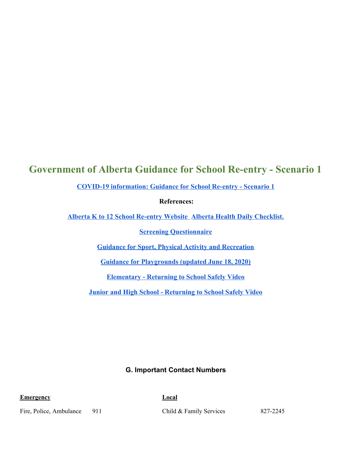### **Government of Alberta Guidance for School Re-entry - Scenario 1**

**[COVID-19 information: Guidance for School Re-entry - Scenario 1](https://open.alberta.ca/dataset/3bc9f561-36aa-4ac8-8e73-afce55227c05/resource/1b341a44-1906-4c62-8acf-6f0500cc0102/download/edc-covid-guidance-school-re-entry-scenario-1-update-2020-07-21.pdf)**

 **References:**

**[Alberta K to 12 School Re-entry Website](https://www.alberta.ca/k-to-12-school-re-entry-2020-21-school-year.aspx) [Alberta Health Daily Checklist.](https://open.alberta.ca/dataset/56c020ed-1782-4c6c-bfdd-5af36754471f/resource/6607784e-b42e-46c2-ba76-031c3b0217c5/download/covid-19-relaunch-daily-checklist.pdf)**

**[Screening Questionnaire](https://www.alberta.ca/assets/documents/edc-covid-19-screening-questionaire-english.pdf)**

**[Guidance for Sport, Physical Activity and Recreation](https://www.alberta.ca/assets/documents/covid-19-relaunch-sports-physical-activity-and-recreation.pdf)**

**[Guidance for Playgrounds \(updated June 18, 2020\)](https://open.alberta.ca/dataset/b09f113e-32bb-42d2-9ba3-29b76dcfd36f/resource/3cfebaf1-f465-489e-af0c-6f62bf2a644d/download/covid-19-relaunch-guidance-playgrounds.pdf)**

**[Elementary - Returning to School Safely Video](https://youtu.be/GLaj98wmgRc)**

**[Junior and High School - Returning to School Safely Video](https://youtu.be/CwYmS-P3Nn0)**

**G. Important Contact Numbers**

**Emergency Local**

Fire, Police, Ambulance 911 Child & Family Services 827-2245